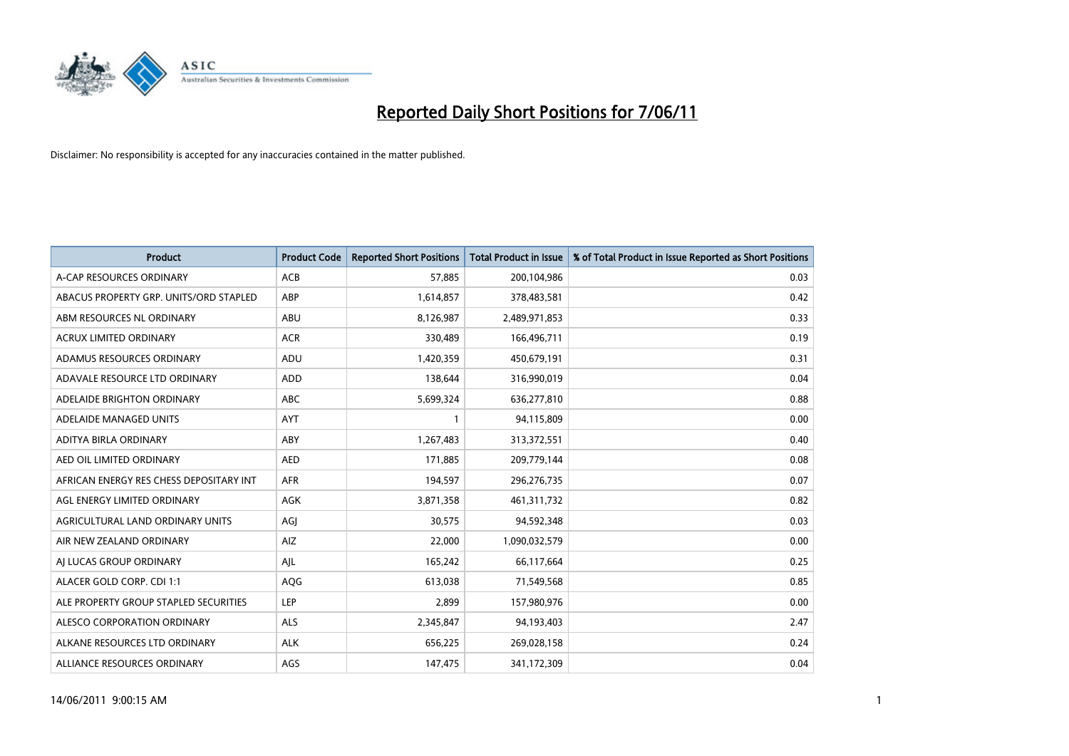

| <b>Product</b>                          | <b>Product Code</b> | <b>Reported Short Positions</b> | Total Product in Issue | % of Total Product in Issue Reported as Short Positions |
|-----------------------------------------|---------------------|---------------------------------|------------------------|---------------------------------------------------------|
| A-CAP RESOURCES ORDINARY                | <b>ACB</b>          | 57,885                          | 200,104,986            | 0.03                                                    |
| ABACUS PROPERTY GRP. UNITS/ORD STAPLED  | ABP                 | 1,614,857                       | 378,483,581            | 0.42                                                    |
| ABM RESOURCES NL ORDINARY               | ABU                 | 8,126,987                       | 2,489,971,853          | 0.33                                                    |
| ACRUX LIMITED ORDINARY                  | <b>ACR</b>          | 330,489                         | 166,496,711            | 0.19                                                    |
| ADAMUS RESOURCES ORDINARY               | ADU                 | 1,420,359                       | 450,679,191            | 0.31                                                    |
| ADAVALE RESOURCE LTD ORDINARY           | ADD                 | 138,644                         | 316,990,019            | 0.04                                                    |
| ADELAIDE BRIGHTON ORDINARY              | <b>ABC</b>          | 5,699,324                       | 636,277,810            | 0.88                                                    |
| ADELAIDE MANAGED UNITS                  | <b>AYT</b>          |                                 | 94,115,809             | 0.00                                                    |
| ADITYA BIRLA ORDINARY                   | ABY                 | 1,267,483                       | 313,372,551            | 0.40                                                    |
| AED OIL LIMITED ORDINARY                | <b>AED</b>          | 171,885                         | 209,779,144            | 0.08                                                    |
| AFRICAN ENERGY RES CHESS DEPOSITARY INT | <b>AFR</b>          | 194,597                         | 296,276,735            | 0.07                                                    |
| AGL ENERGY LIMITED ORDINARY             | <b>AGK</b>          | 3,871,358                       | 461, 311, 732          | 0.82                                                    |
| AGRICULTURAL LAND ORDINARY UNITS        | AGJ                 | 30,575                          | 94,592,348             | 0.03                                                    |
| AIR NEW ZEALAND ORDINARY                | AIZ                 | 22,000                          | 1,090,032,579          | 0.00                                                    |
| AI LUCAS GROUP ORDINARY                 | AJL                 | 165,242                         | 66,117,664             | 0.25                                                    |
| ALACER GOLD CORP. CDI 1:1               | AQG                 | 613,038                         | 71,549,568             | 0.85                                                    |
| ALE PROPERTY GROUP STAPLED SECURITIES   | <b>LEP</b>          | 2,899                           | 157,980,976            | 0.00                                                    |
| ALESCO CORPORATION ORDINARY             | <b>ALS</b>          | 2,345,847                       | 94,193,403             | 2.47                                                    |
| ALKANE RESOURCES LTD ORDINARY           | <b>ALK</b>          | 656,225                         | 269,028,158            | 0.24                                                    |
| ALLIANCE RESOURCES ORDINARY             | AGS                 | 147,475                         | 341,172,309            | 0.04                                                    |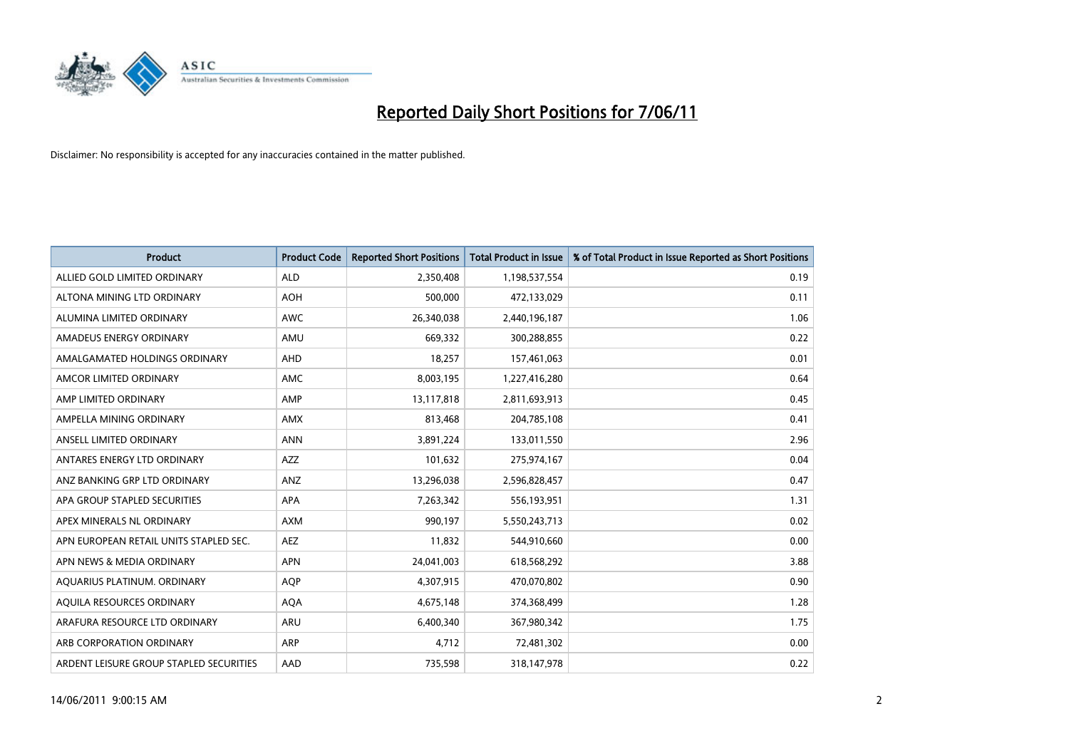

| <b>Product</b>                          | <b>Product Code</b> | <b>Reported Short Positions</b> | <b>Total Product in Issue</b> | % of Total Product in Issue Reported as Short Positions |
|-----------------------------------------|---------------------|---------------------------------|-------------------------------|---------------------------------------------------------|
| ALLIED GOLD LIMITED ORDINARY            | <b>ALD</b>          | 2,350,408                       | 1,198,537,554                 | 0.19                                                    |
| ALTONA MINING LTD ORDINARY              | <b>AOH</b>          | 500,000                         | 472,133,029                   | 0.11                                                    |
| ALUMINA LIMITED ORDINARY                | <b>AWC</b>          | 26,340,038                      | 2,440,196,187                 | 1.06                                                    |
| AMADEUS ENERGY ORDINARY                 | AMU                 | 669,332                         | 300,288,855                   | 0.22                                                    |
| AMALGAMATED HOLDINGS ORDINARY           | AHD                 | 18,257                          | 157,461,063                   | 0.01                                                    |
| AMCOR LIMITED ORDINARY                  | <b>AMC</b>          | 8,003,195                       | 1,227,416,280                 | 0.64                                                    |
| AMP LIMITED ORDINARY                    | AMP                 | 13,117,818                      | 2,811,693,913                 | 0.45                                                    |
| AMPELLA MINING ORDINARY                 | <b>AMX</b>          | 813,468                         | 204,785,108                   | 0.41                                                    |
| ANSELL LIMITED ORDINARY                 | <b>ANN</b>          | 3,891,224                       | 133,011,550                   | 2.96                                                    |
| ANTARES ENERGY LTD ORDINARY             | <b>AZZ</b>          | 101,632                         | 275,974,167                   | 0.04                                                    |
| ANZ BANKING GRP LTD ORDINARY            | ANZ                 | 13,296,038                      | 2,596,828,457                 | 0.47                                                    |
| APA GROUP STAPLED SECURITIES            | <b>APA</b>          | 7,263,342                       | 556,193,951                   | 1.31                                                    |
| APEX MINERALS NL ORDINARY               | <b>AXM</b>          | 990,197                         | 5,550,243,713                 | 0.02                                                    |
| APN EUROPEAN RETAIL UNITS STAPLED SEC.  | <b>AEZ</b>          | 11,832                          | 544,910,660                   | 0.00                                                    |
| APN NEWS & MEDIA ORDINARY               | <b>APN</b>          | 24,041,003                      | 618,568,292                   | 3.88                                                    |
| AQUARIUS PLATINUM. ORDINARY             | <b>AOP</b>          | 4,307,915                       | 470,070,802                   | 0.90                                                    |
| AQUILA RESOURCES ORDINARY               | <b>AQA</b>          | 4,675,148                       | 374,368,499                   | 1.28                                                    |
| ARAFURA RESOURCE LTD ORDINARY           | <b>ARU</b>          | 6,400,340                       | 367,980,342                   | 1.75                                                    |
| ARB CORPORATION ORDINARY                | <b>ARP</b>          | 4,712                           | 72,481,302                    | 0.00                                                    |
| ARDENT LEISURE GROUP STAPLED SECURITIES | AAD                 | 735,598                         | 318,147,978                   | 0.22                                                    |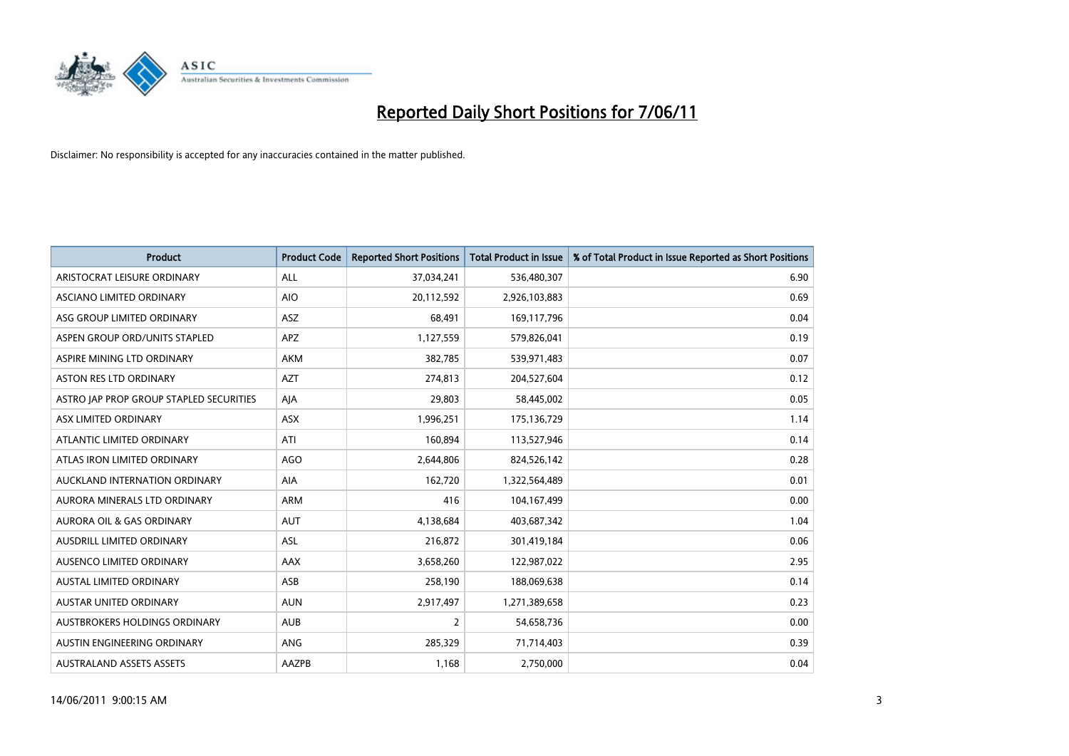

| <b>Product</b>                          | <b>Product Code</b> | <b>Reported Short Positions</b> | Total Product in Issue | % of Total Product in Issue Reported as Short Positions |
|-----------------------------------------|---------------------|---------------------------------|------------------------|---------------------------------------------------------|
| ARISTOCRAT LEISURE ORDINARY             | ALL                 | 37,034,241                      | 536,480,307            | 6.90                                                    |
| ASCIANO LIMITED ORDINARY                | <b>AIO</b>          | 20,112,592                      | 2,926,103,883          | 0.69                                                    |
| ASG GROUP LIMITED ORDINARY              | <b>ASZ</b>          | 68.491                          | 169,117,796            | 0.04                                                    |
| ASPEN GROUP ORD/UNITS STAPLED           | <b>APZ</b>          | 1,127,559                       | 579,826,041            | 0.19                                                    |
| ASPIRE MINING LTD ORDINARY              | <b>AKM</b>          | 382,785                         | 539,971,483            | 0.07                                                    |
| <b>ASTON RES LTD ORDINARY</b>           | <b>AZT</b>          | 274,813                         | 204,527,604            | 0.12                                                    |
| ASTRO JAP PROP GROUP STAPLED SECURITIES | AJA                 | 29,803                          | 58,445,002             | 0.05                                                    |
| ASX LIMITED ORDINARY                    | <b>ASX</b>          | 1,996,251                       | 175,136,729            | 1.14                                                    |
| ATLANTIC LIMITED ORDINARY               | ATI                 | 160,894                         | 113,527,946            | 0.14                                                    |
| ATLAS IRON LIMITED ORDINARY             | <b>AGO</b>          | 2,644,806                       | 824,526,142            | 0.28                                                    |
| AUCKLAND INTERNATION ORDINARY           | AIA                 | 162,720                         | 1,322,564,489          | 0.01                                                    |
| AURORA MINERALS LTD ORDINARY            | <b>ARM</b>          | 416                             | 104,167,499            | 0.00                                                    |
| AURORA OIL & GAS ORDINARY               | <b>AUT</b>          | 4,138,684                       | 403,687,342            | 1.04                                                    |
| AUSDRILL LIMITED ORDINARY               | ASL                 | 216,872                         | 301,419,184            | 0.06                                                    |
| AUSENCO LIMITED ORDINARY                | AAX                 | 3,658,260                       | 122,987,022            | 2.95                                                    |
| AUSTAL LIMITED ORDINARY                 | ASB                 | 258,190                         | 188,069,638            | 0.14                                                    |
| AUSTAR UNITED ORDINARY                  | <b>AUN</b>          | 2,917,497                       | 1,271,389,658          | 0.23                                                    |
| AUSTBROKERS HOLDINGS ORDINARY           | <b>AUB</b>          | 2                               | 54,658,736             | 0.00                                                    |
| AUSTIN ENGINEERING ORDINARY             | <b>ANG</b>          | 285,329                         | 71,714,403             | 0.39                                                    |
| <b>AUSTRALAND ASSETS ASSETS</b>         | AAZPB               | 1,168                           | 2,750,000              | 0.04                                                    |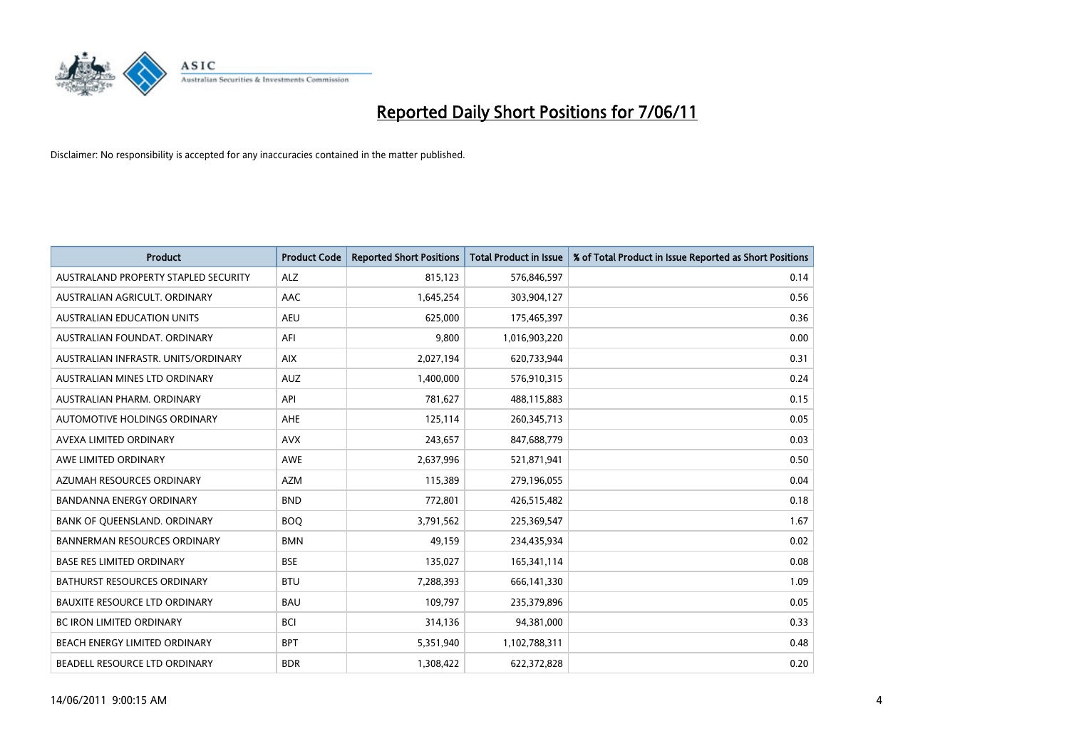

| <b>Product</b>                       | <b>Product Code</b> | <b>Reported Short Positions</b> | <b>Total Product in Issue</b> | % of Total Product in Issue Reported as Short Positions |
|--------------------------------------|---------------------|---------------------------------|-------------------------------|---------------------------------------------------------|
| AUSTRALAND PROPERTY STAPLED SECURITY | <b>ALZ</b>          | 815,123                         | 576,846,597                   | 0.14                                                    |
| AUSTRALIAN AGRICULT. ORDINARY        | AAC                 | 1,645,254                       | 303,904,127                   | 0.56                                                    |
| <b>AUSTRALIAN EDUCATION UNITS</b>    | <b>AEU</b>          | 625,000                         | 175,465,397                   | 0.36                                                    |
| AUSTRALIAN FOUNDAT. ORDINARY         | AFI                 | 9,800                           | 1,016,903,220                 | 0.00                                                    |
| AUSTRALIAN INFRASTR, UNITS/ORDINARY  | <b>AIX</b>          | 2,027,194                       | 620,733,944                   | 0.31                                                    |
| AUSTRALIAN MINES LTD ORDINARY        | <b>AUZ</b>          | 1,400,000                       | 576,910,315                   | 0.24                                                    |
| AUSTRALIAN PHARM, ORDINARY           | API                 | 781,627                         | 488,115,883                   | 0.15                                                    |
| AUTOMOTIVE HOLDINGS ORDINARY         | AHE                 | 125,114                         | 260,345,713                   | 0.05                                                    |
| AVEXA LIMITED ORDINARY               | <b>AVX</b>          | 243,657                         | 847,688,779                   | 0.03                                                    |
| AWE LIMITED ORDINARY                 | <b>AWE</b>          | 2,637,996                       | 521,871,941                   | 0.50                                                    |
| AZUMAH RESOURCES ORDINARY            | <b>AZM</b>          | 115,389                         | 279,196,055                   | 0.04                                                    |
| <b>BANDANNA ENERGY ORDINARY</b>      | <b>BND</b>          | 772,801                         | 426,515,482                   | 0.18                                                    |
| BANK OF QUEENSLAND. ORDINARY         | <b>BOO</b>          | 3,791,562                       | 225,369,547                   | 1.67                                                    |
| <b>BANNERMAN RESOURCES ORDINARY</b>  | <b>BMN</b>          | 49,159                          | 234,435,934                   | 0.02                                                    |
| <b>BASE RES LIMITED ORDINARY</b>     | <b>BSE</b>          | 135,027                         | 165,341,114                   | 0.08                                                    |
| BATHURST RESOURCES ORDINARY          | <b>BTU</b>          | 7,288,393                       | 666,141,330                   | 1.09                                                    |
| <b>BAUXITE RESOURCE LTD ORDINARY</b> | <b>BAU</b>          | 109,797                         | 235,379,896                   | 0.05                                                    |
| <b>BC IRON LIMITED ORDINARY</b>      | <b>BCI</b>          | 314,136                         | 94,381,000                    | 0.33                                                    |
| BEACH ENERGY LIMITED ORDINARY        | <b>BPT</b>          | 5,351,940                       | 1,102,788,311                 | 0.48                                                    |
| BEADELL RESOURCE LTD ORDINARY        | <b>BDR</b>          | 1,308,422                       | 622,372,828                   | 0.20                                                    |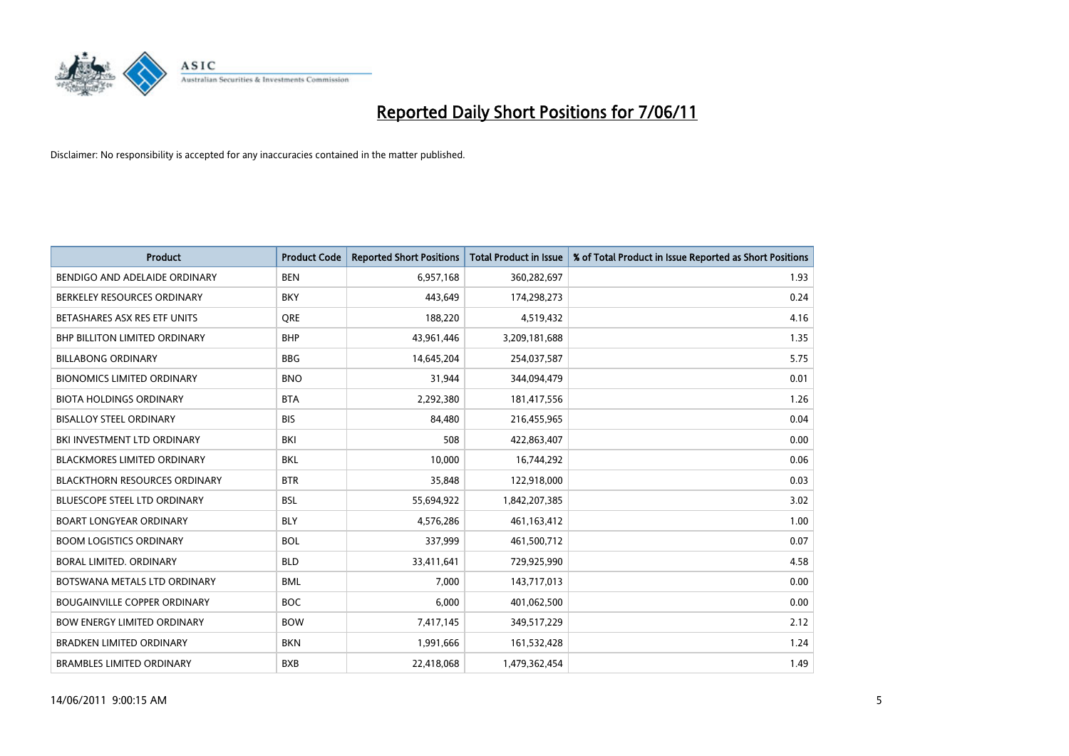

| <b>Product</b>                       | <b>Product Code</b> | <b>Reported Short Positions</b> | <b>Total Product in Issue</b> | % of Total Product in Issue Reported as Short Positions |
|--------------------------------------|---------------------|---------------------------------|-------------------------------|---------------------------------------------------------|
| BENDIGO AND ADELAIDE ORDINARY        | <b>BEN</b>          | 6,957,168                       | 360,282,697                   | 1.93                                                    |
| BERKELEY RESOURCES ORDINARY          | <b>BKY</b>          | 443,649                         | 174,298,273                   | 0.24                                                    |
| BETASHARES ASX RES ETF UNITS         | <b>ORE</b>          | 188,220                         | 4,519,432                     | 4.16                                                    |
| <b>BHP BILLITON LIMITED ORDINARY</b> | <b>BHP</b>          | 43,961,446                      | 3,209,181,688                 | 1.35                                                    |
| <b>BILLABONG ORDINARY</b>            | <b>BBG</b>          | 14,645,204                      | 254,037,587                   | 5.75                                                    |
| <b>BIONOMICS LIMITED ORDINARY</b>    | <b>BNO</b>          | 31,944                          | 344,094,479                   | 0.01                                                    |
| <b>BIOTA HOLDINGS ORDINARY</b>       | <b>BTA</b>          | 2,292,380                       | 181,417,556                   | 1.26                                                    |
| <b>BISALLOY STEEL ORDINARY</b>       | <b>BIS</b>          | 84,480                          | 216,455,965                   | 0.04                                                    |
| BKI INVESTMENT LTD ORDINARY          | BKI                 | 508                             | 422,863,407                   | 0.00                                                    |
| <b>BLACKMORES LIMITED ORDINARY</b>   | <b>BKL</b>          | 10,000                          | 16,744,292                    | 0.06                                                    |
| <b>BLACKTHORN RESOURCES ORDINARY</b> | <b>BTR</b>          | 35,848                          | 122,918,000                   | 0.03                                                    |
| <b>BLUESCOPE STEEL LTD ORDINARY</b>  | <b>BSL</b>          | 55,694,922                      | 1,842,207,385                 | 3.02                                                    |
| <b>BOART LONGYEAR ORDINARY</b>       | <b>BLY</b>          | 4,576,286                       | 461, 163, 412                 | 1.00                                                    |
| <b>BOOM LOGISTICS ORDINARY</b>       | <b>BOL</b>          | 337,999                         | 461,500,712                   | 0.07                                                    |
| BORAL LIMITED, ORDINARY              | <b>BLD</b>          | 33,411,641                      | 729,925,990                   | 4.58                                                    |
| BOTSWANA METALS LTD ORDINARY         | <b>BML</b>          | 7,000                           | 143,717,013                   | 0.00                                                    |
| <b>BOUGAINVILLE COPPER ORDINARY</b>  | <b>BOC</b>          | 6,000                           | 401,062,500                   | 0.00                                                    |
| <b>BOW ENERGY LIMITED ORDINARY</b>   | <b>BOW</b>          | 7,417,145                       | 349,517,229                   | 2.12                                                    |
| <b>BRADKEN LIMITED ORDINARY</b>      | <b>BKN</b>          | 1,991,666                       | 161,532,428                   | 1.24                                                    |
| <b>BRAMBLES LIMITED ORDINARY</b>     | <b>BXB</b>          | 22,418,068                      | 1,479,362,454                 | 1.49                                                    |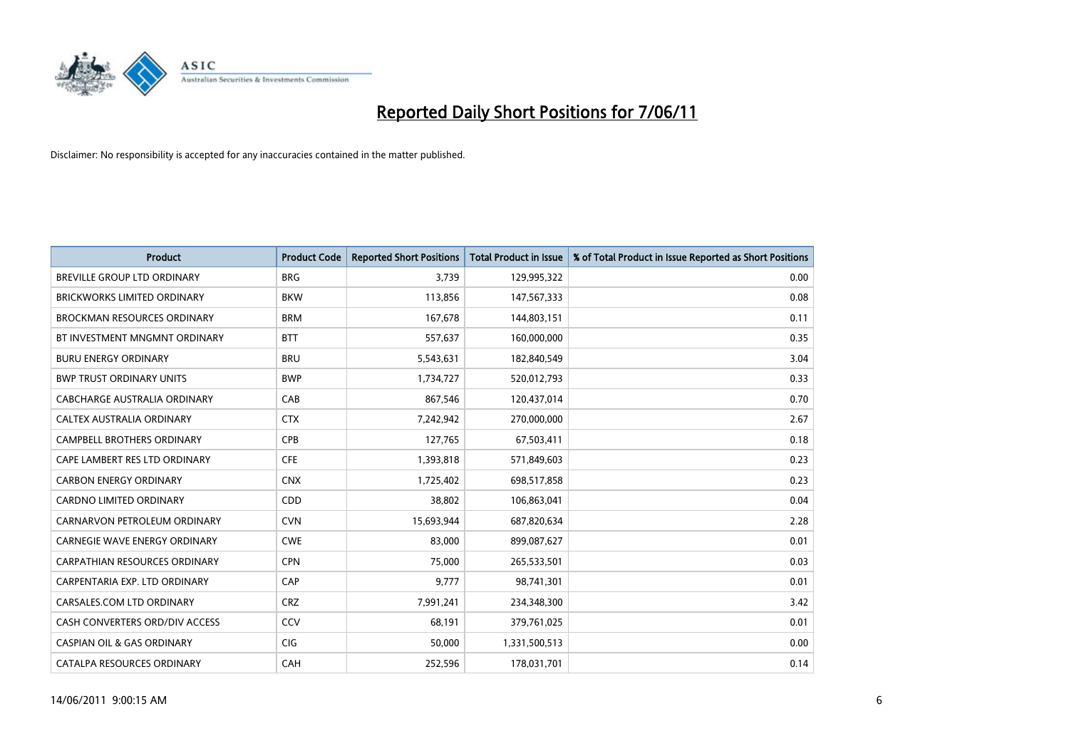

| <b>Product</b>                        | <b>Product Code</b> | <b>Reported Short Positions</b> | <b>Total Product in Issue</b> | % of Total Product in Issue Reported as Short Positions |
|---------------------------------------|---------------------|---------------------------------|-------------------------------|---------------------------------------------------------|
| <b>BREVILLE GROUP LTD ORDINARY</b>    | <b>BRG</b>          | 3,739                           | 129,995,322                   | 0.00                                                    |
| <b>BRICKWORKS LIMITED ORDINARY</b>    | <b>BKW</b>          | 113,856                         | 147,567,333                   | 0.08                                                    |
| <b>BROCKMAN RESOURCES ORDINARY</b>    | <b>BRM</b>          | 167,678                         | 144,803,151                   | 0.11                                                    |
| BT INVESTMENT MNGMNT ORDINARY         | <b>BTT</b>          | 557,637                         | 160,000,000                   | 0.35                                                    |
| <b>BURU ENERGY ORDINARY</b>           | <b>BRU</b>          | 5,543,631                       | 182,840,549                   | 3.04                                                    |
| <b>BWP TRUST ORDINARY UNITS</b>       | <b>BWP</b>          | 1,734,727                       | 520,012,793                   | 0.33                                                    |
| CABCHARGE AUSTRALIA ORDINARY          | CAB                 | 867,546                         | 120,437,014                   | 0.70                                                    |
| <b>CALTEX AUSTRALIA ORDINARY</b>      | <b>CTX</b>          | 7,242,942                       | 270,000,000                   | 2.67                                                    |
| <b>CAMPBELL BROTHERS ORDINARY</b>     | <b>CPB</b>          | 127.765                         | 67,503,411                    | 0.18                                                    |
| CAPE LAMBERT RES LTD ORDINARY         | <b>CFE</b>          | 1,393,818                       | 571,849,603                   | 0.23                                                    |
| <b>CARBON ENERGY ORDINARY</b>         | <b>CNX</b>          | 1,725,402                       | 698,517,858                   | 0.23                                                    |
| <b>CARDNO LIMITED ORDINARY</b>        | CDD                 | 38.802                          | 106,863,041                   | 0.04                                                    |
| CARNARVON PETROLEUM ORDINARY          | <b>CVN</b>          | 15,693,944                      | 687,820,634                   | 2.28                                                    |
| CARNEGIE WAVE ENERGY ORDINARY         | <b>CWE</b>          | 83,000                          | 899,087,627                   | 0.01                                                    |
| <b>CARPATHIAN RESOURCES ORDINARY</b>  | <b>CPN</b>          | 75.000                          | 265,533,501                   | 0.03                                                    |
| CARPENTARIA EXP. LTD ORDINARY         | CAP                 | 9,777                           | 98,741,301                    | 0.01                                                    |
| CARSALES.COM LTD ORDINARY             | <b>CRZ</b>          | 7,991,241                       | 234,348,300                   | 3.42                                                    |
| CASH CONVERTERS ORD/DIV ACCESS        | CCV                 | 68,191                          | 379,761,025                   | 0.01                                                    |
| <b>CASPIAN OIL &amp; GAS ORDINARY</b> | <b>CIG</b>          | 50,000                          | 1,331,500,513                 | 0.00                                                    |
| CATALPA RESOURCES ORDINARY            | CAH                 | 252,596                         | 178,031,701                   | 0.14                                                    |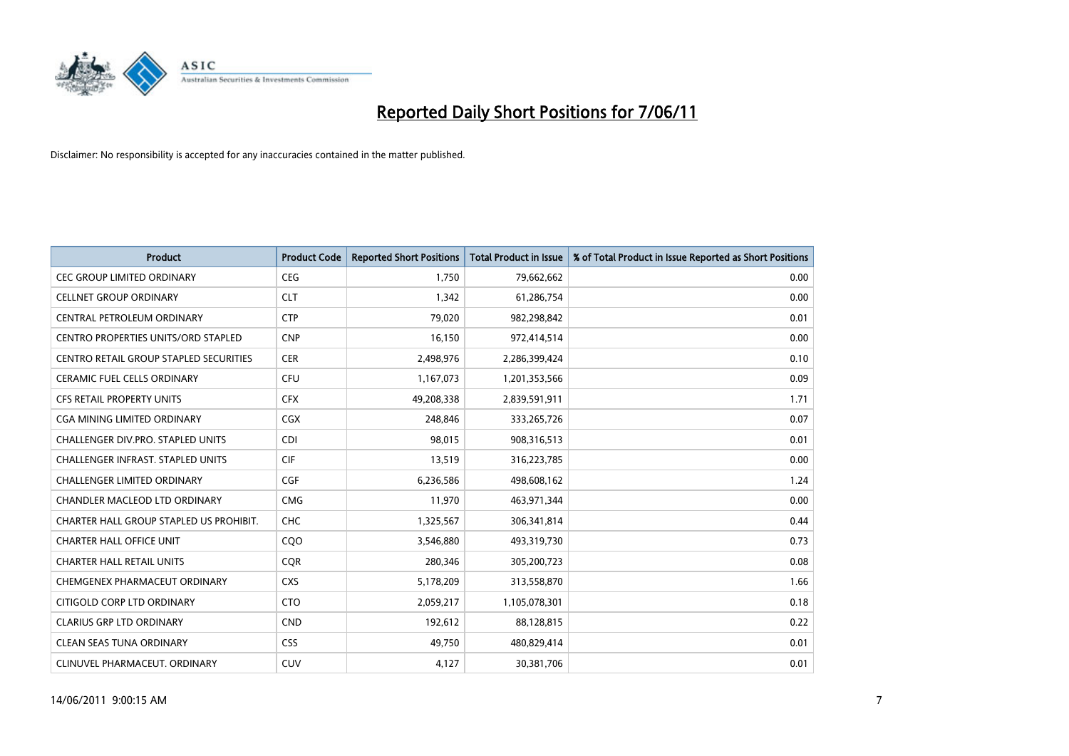

| <b>Product</b>                                | <b>Product Code</b> | <b>Reported Short Positions</b> | Total Product in Issue | % of Total Product in Issue Reported as Short Positions |
|-----------------------------------------------|---------------------|---------------------------------|------------------------|---------------------------------------------------------|
| <b>CEC GROUP LIMITED ORDINARY</b>             | <b>CEG</b>          | 1,750                           | 79,662,662             | 0.00                                                    |
| <b>CELLNET GROUP ORDINARY</b>                 | <b>CLT</b>          | 1,342                           | 61,286,754             | 0.00                                                    |
| CENTRAL PETROLEUM ORDINARY                    | <b>CTP</b>          | 79,020                          | 982,298,842            | 0.01                                                    |
| CENTRO PROPERTIES UNITS/ORD STAPLED           | <b>CNP</b>          | 16,150                          | 972,414,514            | 0.00                                                    |
| <b>CENTRO RETAIL GROUP STAPLED SECURITIES</b> | <b>CER</b>          | 2,498,976                       | 2,286,399,424          | 0.10                                                    |
| <b>CERAMIC FUEL CELLS ORDINARY</b>            | <b>CFU</b>          | 1,167,073                       | 1,201,353,566          | 0.09                                                    |
| <b>CFS RETAIL PROPERTY UNITS</b>              | <b>CFX</b>          | 49,208,338                      | 2,839,591,911          | 1.71                                                    |
| CGA MINING LIMITED ORDINARY                   | <b>CGX</b>          | 248,846                         | 333,265,726            | 0.07                                                    |
| <b>CHALLENGER DIV.PRO. STAPLED UNITS</b>      | <b>CDI</b>          | 98,015                          | 908,316,513            | 0.01                                                    |
| CHALLENGER INFRAST. STAPLED UNITS             | <b>CIF</b>          | 13,519                          | 316,223,785            | 0.00                                                    |
| CHALLENGER LIMITED ORDINARY                   | <b>CGF</b>          | 6,236,586                       | 498,608,162            | 1.24                                                    |
| CHANDLER MACLEOD LTD ORDINARY                 | <b>CMG</b>          | 11,970                          | 463,971,344            | 0.00                                                    |
| CHARTER HALL GROUP STAPLED US PROHIBIT.       | <b>CHC</b>          | 1,325,567                       | 306,341,814            | 0.44                                                    |
| <b>CHARTER HALL OFFICE UNIT</b>               | COO                 | 3,546,880                       | 493,319,730            | 0.73                                                    |
| <b>CHARTER HALL RETAIL UNITS</b>              | CQR                 | 280,346                         | 305,200,723            | 0.08                                                    |
| CHEMGENEX PHARMACEUT ORDINARY                 | <b>CXS</b>          | 5,178,209                       | 313,558,870            | 1.66                                                    |
| CITIGOLD CORP LTD ORDINARY                    | <b>CTO</b>          | 2,059,217                       | 1,105,078,301          | 0.18                                                    |
| <b>CLARIUS GRP LTD ORDINARY</b>               | <b>CND</b>          | 192,612                         | 88,128,815             | 0.22                                                    |
| <b>CLEAN SEAS TUNA ORDINARY</b>               | <b>CSS</b>          | 49,750                          | 480,829,414            | 0.01                                                    |
| CLINUVEL PHARMACEUT. ORDINARY                 | <b>CUV</b>          | 4,127                           | 30,381,706             | 0.01                                                    |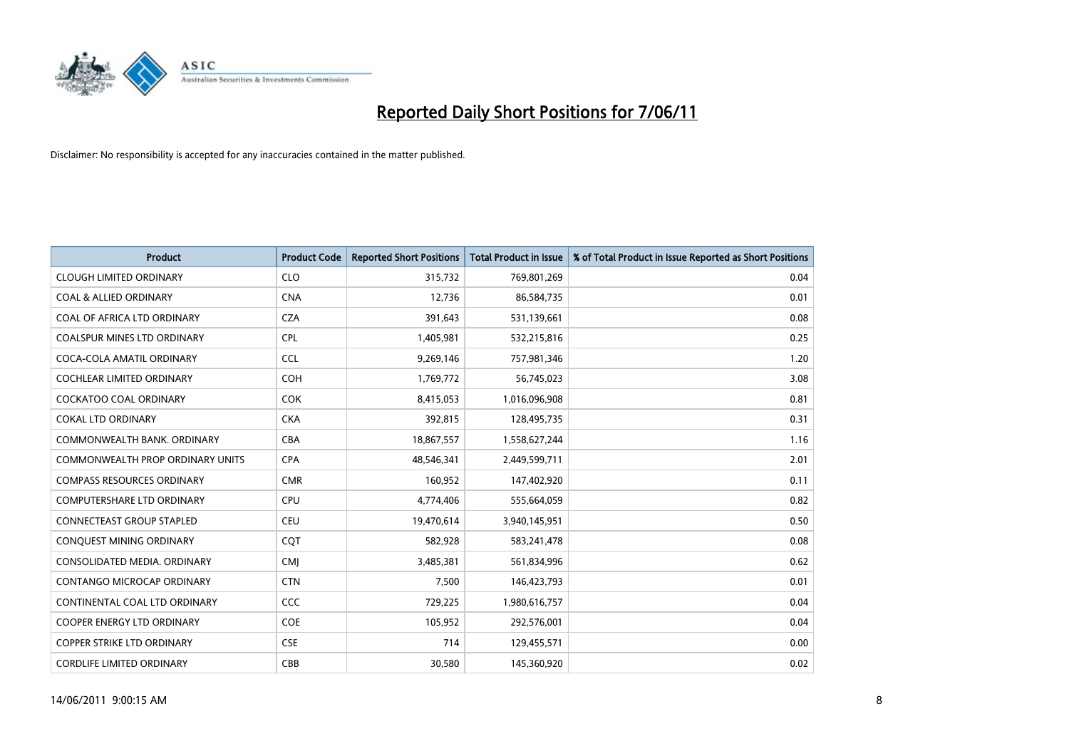

| <b>Product</b>                          | <b>Product Code</b> | <b>Reported Short Positions</b> | Total Product in Issue | % of Total Product in Issue Reported as Short Positions |
|-----------------------------------------|---------------------|---------------------------------|------------------------|---------------------------------------------------------|
| <b>CLOUGH LIMITED ORDINARY</b>          | <b>CLO</b>          | 315,732                         | 769,801,269            | 0.04                                                    |
| <b>COAL &amp; ALLIED ORDINARY</b>       | <b>CNA</b>          | 12,736                          | 86,584,735             | 0.01                                                    |
| COAL OF AFRICA LTD ORDINARY             | <b>CZA</b>          | 391,643                         | 531,139,661            | 0.08                                                    |
| COALSPUR MINES LTD ORDINARY             | <b>CPL</b>          | 1,405,981                       | 532,215,816            | 0.25                                                    |
| COCA-COLA AMATIL ORDINARY               | <b>CCL</b>          | 9,269,146                       | 757,981,346            | 1.20                                                    |
| <b>COCHLEAR LIMITED ORDINARY</b>        | COH                 | 1,769,772                       | 56,745,023             | 3.08                                                    |
| <b>COCKATOO COAL ORDINARY</b>           | <b>COK</b>          | 8,415,053                       | 1,016,096,908          | 0.81                                                    |
| <b>COKAL LTD ORDINARY</b>               | <b>CKA</b>          | 392,815                         | 128,495,735            | 0.31                                                    |
| COMMONWEALTH BANK, ORDINARY             | <b>CBA</b>          | 18,867,557                      | 1,558,627,244          | 1.16                                                    |
| <b>COMMONWEALTH PROP ORDINARY UNITS</b> | <b>CPA</b>          | 48,546,341                      | 2,449,599,711          | 2.01                                                    |
| <b>COMPASS RESOURCES ORDINARY</b>       | <b>CMR</b>          | 160,952                         | 147,402,920            | 0.11                                                    |
| <b>COMPUTERSHARE LTD ORDINARY</b>       | <b>CPU</b>          | 4,774,406                       | 555,664,059            | 0.82                                                    |
| <b>CONNECTEAST GROUP STAPLED</b>        | <b>CEU</b>          | 19,470,614                      | 3,940,145,951          | 0.50                                                    |
| CONQUEST MINING ORDINARY                | COT                 | 582.928                         | 583,241,478            | 0.08                                                    |
| CONSOLIDATED MEDIA, ORDINARY            | <b>CMI</b>          | 3,485,381                       | 561,834,996            | 0.62                                                    |
| <b>CONTANGO MICROCAP ORDINARY</b>       | <b>CTN</b>          | 7,500                           | 146,423,793            | 0.01                                                    |
| CONTINENTAL COAL LTD ORDINARY           | <b>CCC</b>          | 729,225                         | 1,980,616,757          | 0.04                                                    |
| COOPER ENERGY LTD ORDINARY              | <b>COE</b>          | 105,952                         | 292,576,001            | 0.04                                                    |
| <b>COPPER STRIKE LTD ORDINARY</b>       | <b>CSE</b>          | 714                             | 129,455,571            | 0.00                                                    |
| <b>CORDLIFE LIMITED ORDINARY</b>        | CBB                 | 30,580                          | 145,360,920            | 0.02                                                    |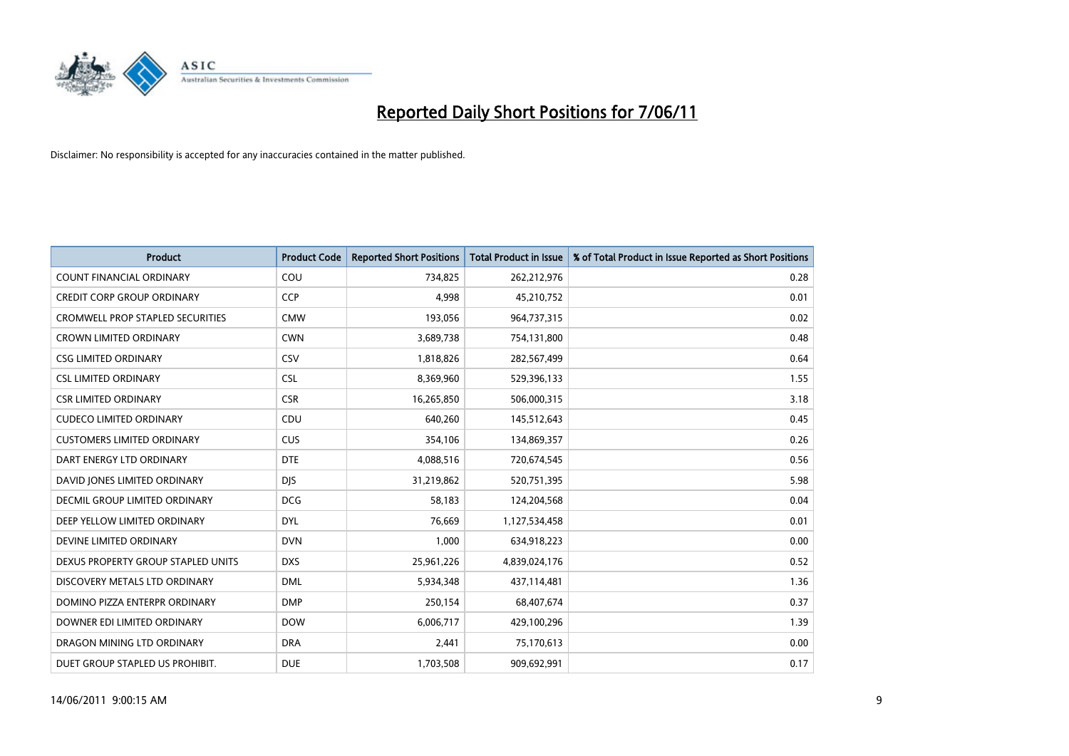

| <b>Product</b>                          | <b>Product Code</b> | <b>Reported Short Positions</b> | <b>Total Product in Issue</b> | % of Total Product in Issue Reported as Short Positions |
|-----------------------------------------|---------------------|---------------------------------|-------------------------------|---------------------------------------------------------|
| <b>COUNT FINANCIAL ORDINARY</b>         | COU                 | 734,825                         | 262,212,976                   | 0.28                                                    |
| CREDIT CORP GROUP ORDINARY              | <b>CCP</b>          | 4,998                           | 45,210,752                    | 0.01                                                    |
| <b>CROMWELL PROP STAPLED SECURITIES</b> | <b>CMW</b>          | 193,056                         | 964,737,315                   | 0.02                                                    |
| <b>CROWN LIMITED ORDINARY</b>           | <b>CWN</b>          | 3,689,738                       | 754,131,800                   | 0.48                                                    |
| <b>CSG LIMITED ORDINARY</b>             | CSV                 | 1,818,826                       | 282,567,499                   | 0.64                                                    |
| <b>CSL LIMITED ORDINARY</b>             | <b>CSL</b>          | 8,369,960                       | 529,396,133                   | 1.55                                                    |
| <b>CSR LIMITED ORDINARY</b>             | <b>CSR</b>          | 16,265,850                      | 506,000,315                   | 3.18                                                    |
| <b>CUDECO LIMITED ORDINARY</b>          | CDU                 | 640,260                         | 145,512,643                   | 0.45                                                    |
| <b>CUSTOMERS LIMITED ORDINARY</b>       | CUS                 | 354,106                         | 134,869,357                   | 0.26                                                    |
| DART ENERGY LTD ORDINARY                | <b>DTE</b>          | 4,088,516                       | 720,674,545                   | 0.56                                                    |
| DAVID JONES LIMITED ORDINARY            | <b>DJS</b>          | 31,219,862                      | 520,751,395                   | 5.98                                                    |
| <b>DECMIL GROUP LIMITED ORDINARY</b>    | <b>DCG</b>          | 58,183                          | 124,204,568                   | 0.04                                                    |
| DEEP YELLOW LIMITED ORDINARY            | <b>DYL</b>          | 76,669                          | 1,127,534,458                 | 0.01                                                    |
| DEVINE LIMITED ORDINARY                 | <b>DVN</b>          | 1,000                           | 634,918,223                   | 0.00                                                    |
| DEXUS PROPERTY GROUP STAPLED UNITS      | <b>DXS</b>          | 25,961,226                      | 4,839,024,176                 | 0.52                                                    |
| DISCOVERY METALS LTD ORDINARY           | <b>DML</b>          | 5,934,348                       | 437,114,481                   | 1.36                                                    |
| DOMINO PIZZA ENTERPR ORDINARY           | <b>DMP</b>          | 250,154                         | 68,407,674                    | 0.37                                                    |
| DOWNER EDI LIMITED ORDINARY             | <b>DOW</b>          | 6,006,717                       | 429,100,296                   | 1.39                                                    |
| DRAGON MINING LTD ORDINARY              | <b>DRA</b>          | 2,441                           | 75,170,613                    | 0.00                                                    |
| DUET GROUP STAPLED US PROHIBIT.         | <b>DUE</b>          | 1,703,508                       | 909,692,991                   | 0.17                                                    |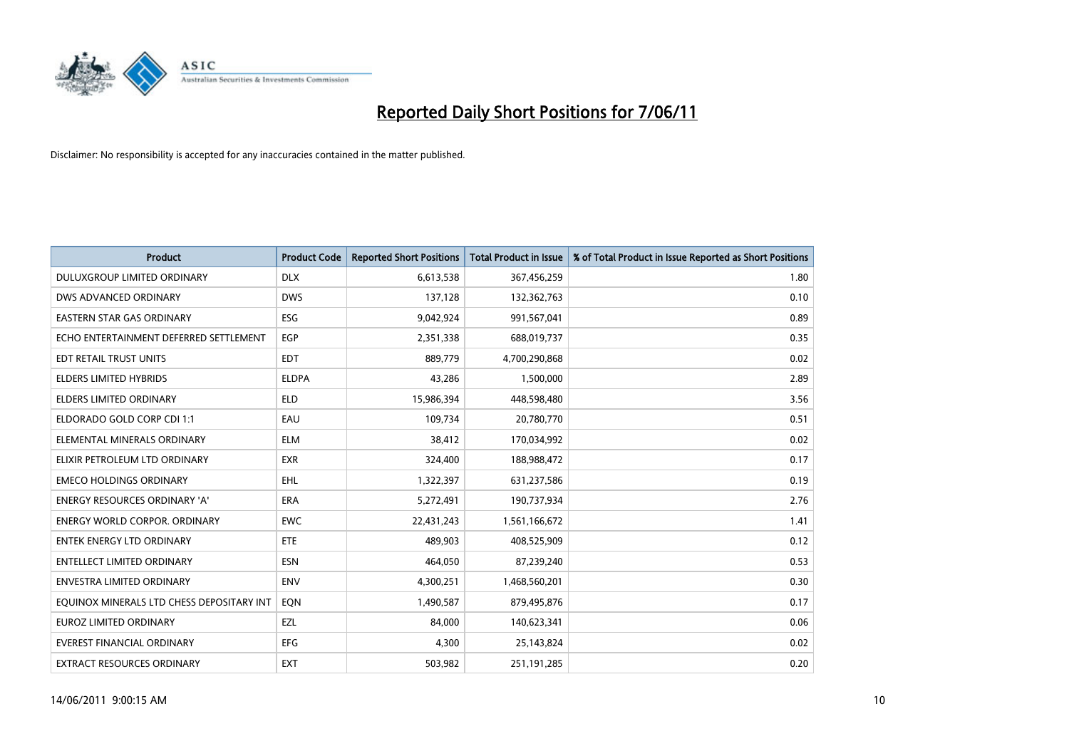

| <b>Product</b>                            | <b>Product Code</b> | <b>Reported Short Positions</b> | <b>Total Product in Issue</b> | % of Total Product in Issue Reported as Short Positions |
|-------------------------------------------|---------------------|---------------------------------|-------------------------------|---------------------------------------------------------|
| DULUXGROUP LIMITED ORDINARY               | <b>DLX</b>          | 6,613,538                       | 367,456,259                   | 1.80                                                    |
| DWS ADVANCED ORDINARY                     | <b>DWS</b>          | 137,128                         | 132,362,763                   | 0.10                                                    |
| <b>EASTERN STAR GAS ORDINARY</b>          | ESG                 | 9,042,924                       | 991,567,041                   | 0.89                                                    |
| ECHO ENTERTAINMENT DEFERRED SETTLEMENT    | EGP                 | 2,351,338                       | 688,019,737                   | 0.35                                                    |
| EDT RETAIL TRUST UNITS                    | <b>EDT</b>          | 889,779                         | 4,700,290,868                 | 0.02                                                    |
| <b>ELDERS LIMITED HYBRIDS</b>             | <b>ELDPA</b>        | 43,286                          | 1,500,000                     | 2.89                                                    |
| <b>ELDERS LIMITED ORDINARY</b>            | <b>ELD</b>          | 15,986,394                      | 448,598,480                   | 3.56                                                    |
| ELDORADO GOLD CORP CDI 1:1                | EAU                 | 109,734                         | 20,780,770                    | 0.51                                                    |
| ELEMENTAL MINERALS ORDINARY               | <b>ELM</b>          | 38,412                          | 170,034,992                   | 0.02                                                    |
| ELIXIR PETROLEUM LTD ORDINARY             | <b>EXR</b>          | 324,400                         | 188,988,472                   | 0.17                                                    |
| <b>EMECO HOLDINGS ORDINARY</b>            | <b>EHL</b>          | 1,322,397                       | 631,237,586                   | 0.19                                                    |
| ENERGY RESOURCES ORDINARY 'A'             | ERA                 | 5,272,491                       | 190,737,934                   | 2.76                                                    |
| <b>ENERGY WORLD CORPOR, ORDINARY</b>      | <b>EWC</b>          | 22,431,243                      | 1,561,166,672                 | 1.41                                                    |
| <b>ENTEK ENERGY LTD ORDINARY</b>          | <b>ETE</b>          | 489,903                         | 408,525,909                   | 0.12                                                    |
| <b>ENTELLECT LIMITED ORDINARY</b>         | <b>ESN</b>          | 464,050                         | 87,239,240                    | 0.53                                                    |
| <b>ENVESTRA LIMITED ORDINARY</b>          | <b>ENV</b>          | 4,300,251                       | 1,468,560,201                 | 0.30                                                    |
| EQUINOX MINERALS LTD CHESS DEPOSITARY INT | EON                 | 1,490,587                       | 879,495,876                   | 0.17                                                    |
| <b>EUROZ LIMITED ORDINARY</b>             | EZL                 | 84,000                          | 140,623,341                   | 0.06                                                    |
| <b>EVEREST FINANCIAL ORDINARY</b>         | <b>EFG</b>          | 4,300                           | 25,143,824                    | 0.02                                                    |
| EXTRACT RESOURCES ORDINARY                | <b>EXT</b>          | 503,982                         | 251,191,285                   | 0.20                                                    |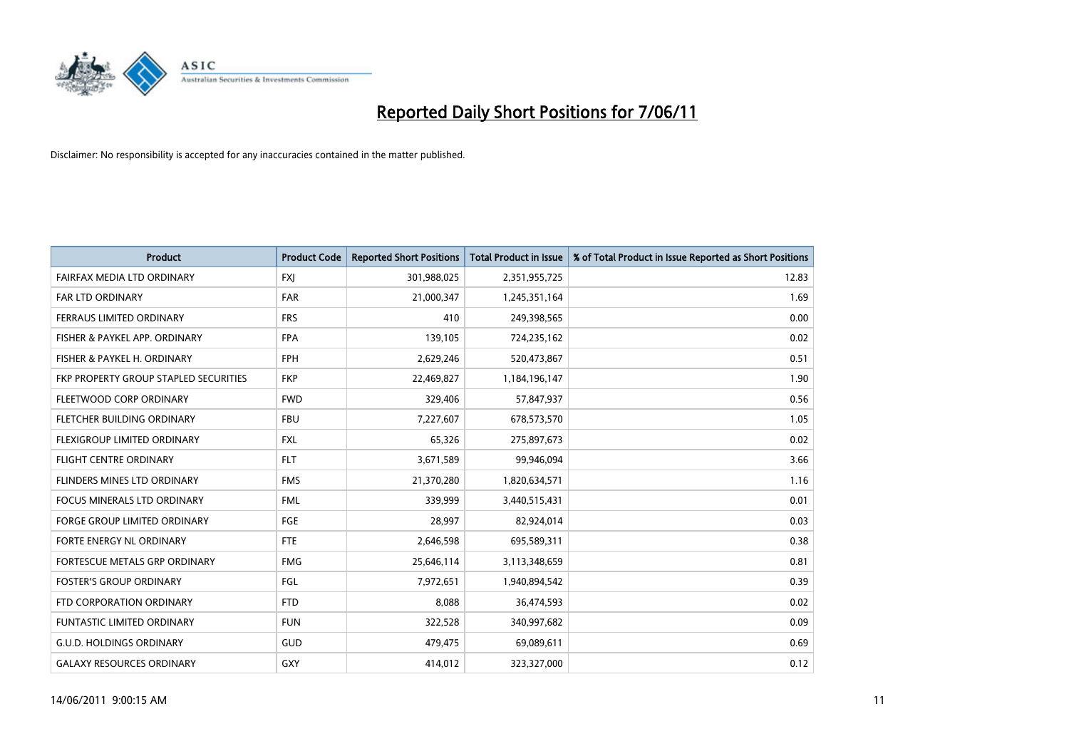

| <b>Product</b>                        | <b>Product Code</b> | <b>Reported Short Positions</b> | <b>Total Product in Issue</b> | % of Total Product in Issue Reported as Short Positions |
|---------------------------------------|---------------------|---------------------------------|-------------------------------|---------------------------------------------------------|
| FAIRFAX MEDIA LTD ORDINARY            | <b>FXJ</b>          | 301,988,025                     | 2,351,955,725                 | 12.83                                                   |
| FAR LTD ORDINARY                      | <b>FAR</b>          | 21,000,347                      | 1,245,351,164                 | 1.69                                                    |
| <b>FERRAUS LIMITED ORDINARY</b>       | <b>FRS</b>          | 410                             | 249,398,565                   | 0.00                                                    |
| FISHER & PAYKEL APP. ORDINARY         | <b>FPA</b>          | 139,105                         | 724,235,162                   | 0.02                                                    |
| FISHER & PAYKEL H. ORDINARY           | <b>FPH</b>          | 2,629,246                       | 520,473,867                   | 0.51                                                    |
| FKP PROPERTY GROUP STAPLED SECURITIES | <b>FKP</b>          | 22,469,827                      | 1,184,196,147                 | 1.90                                                    |
| FLEETWOOD CORP ORDINARY               | <b>FWD</b>          | 329,406                         | 57,847,937                    | 0.56                                                    |
| <b>FLETCHER BUILDING ORDINARY</b>     | <b>FBU</b>          | 7,227,607                       | 678,573,570                   | 1.05                                                    |
| FLEXIGROUP LIMITED ORDINARY           | <b>FXL</b>          | 65,326                          | 275,897,673                   | 0.02                                                    |
| <b>FLIGHT CENTRE ORDINARY</b>         | <b>FLT</b>          | 3,671,589                       | 99,946,094                    | 3.66                                                    |
| FLINDERS MINES LTD ORDINARY           | <b>FMS</b>          | 21,370,280                      | 1,820,634,571                 | 1.16                                                    |
| <b>FOCUS MINERALS LTD ORDINARY</b>    | <b>FML</b>          | 339,999                         | 3,440,515,431                 | 0.01                                                    |
| <b>FORGE GROUP LIMITED ORDINARY</b>   | <b>FGE</b>          | 28,997                          | 82,924,014                    | 0.03                                                    |
| FORTE ENERGY NL ORDINARY              | <b>FTE</b>          | 2,646,598                       | 695,589,311                   | 0.38                                                    |
| FORTESCUE METALS GRP ORDINARY         | <b>FMG</b>          | 25,646,114                      | 3,113,348,659                 | 0.81                                                    |
| <b>FOSTER'S GROUP ORDINARY</b>        | FGL                 | 7,972,651                       | 1,940,894,542                 | 0.39                                                    |
| FTD CORPORATION ORDINARY              | <b>FTD</b>          | 8,088                           | 36,474,593                    | 0.02                                                    |
| FUNTASTIC LIMITED ORDINARY            | <b>FUN</b>          | 322,528                         | 340,997,682                   | 0.09                                                    |
| <b>G.U.D. HOLDINGS ORDINARY</b>       | <b>GUD</b>          | 479,475                         | 69,089,611                    | 0.69                                                    |
| <b>GALAXY RESOURCES ORDINARY</b>      | GXY                 | 414,012                         | 323,327,000                   | 0.12                                                    |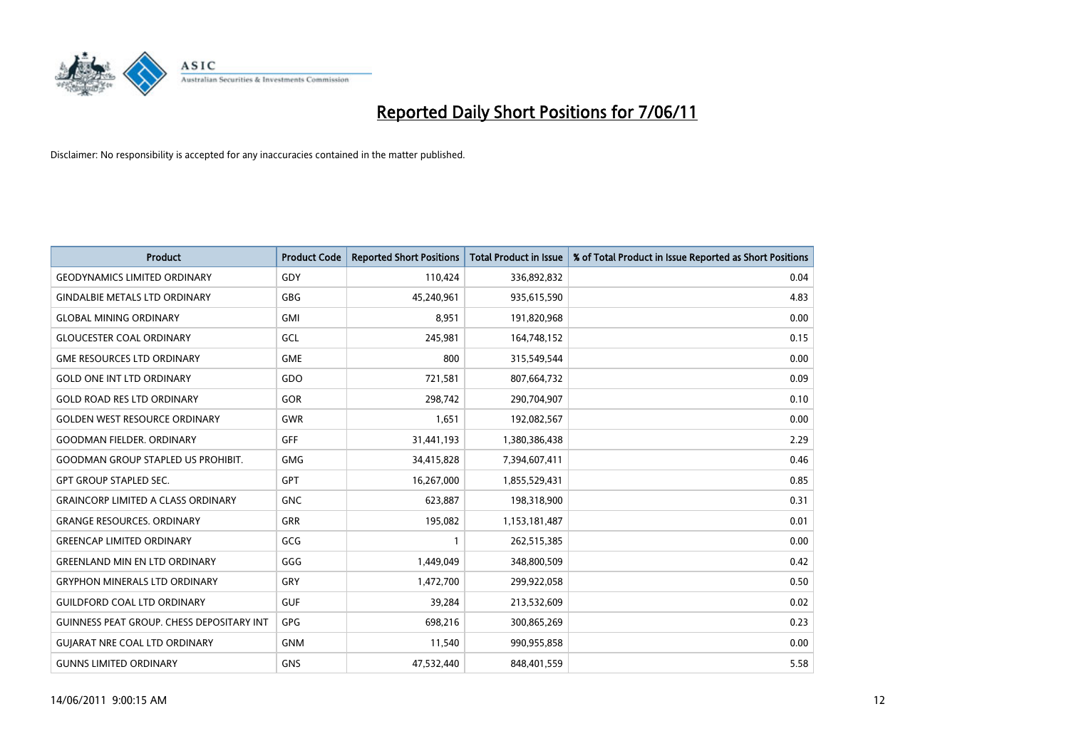

| <b>Product</b>                            | <b>Product Code</b> | <b>Reported Short Positions</b> | <b>Total Product in Issue</b> | % of Total Product in Issue Reported as Short Positions |
|-------------------------------------------|---------------------|---------------------------------|-------------------------------|---------------------------------------------------------|
| <b>GEODYNAMICS LIMITED ORDINARY</b>       | GDY                 | 110,424                         | 336,892,832                   | 0.04                                                    |
| <b>GINDALBIE METALS LTD ORDINARY</b>      | <b>GBG</b>          | 45,240,961                      | 935,615,590                   | 4.83                                                    |
| <b>GLOBAL MINING ORDINARY</b>             | <b>GMI</b>          | 8,951                           | 191,820,968                   | 0.00                                                    |
| <b>GLOUCESTER COAL ORDINARY</b>           | GCL                 | 245,981                         | 164,748,152                   | 0.15                                                    |
| <b>GME RESOURCES LTD ORDINARY</b>         | <b>GME</b>          | 800                             | 315,549,544                   | 0.00                                                    |
| <b>GOLD ONE INT LTD ORDINARY</b>          | GDO                 | 721,581                         | 807,664,732                   | 0.09                                                    |
| <b>GOLD ROAD RES LTD ORDINARY</b>         | GOR                 | 298,742                         | 290,704,907                   | 0.10                                                    |
| <b>GOLDEN WEST RESOURCE ORDINARY</b>      | GWR                 | 1,651                           | 192,082,567                   | 0.00                                                    |
| <b>GOODMAN FIELDER. ORDINARY</b>          | <b>GFF</b>          | 31,441,193                      | 1,380,386,438                 | 2.29                                                    |
| <b>GOODMAN GROUP STAPLED US PROHIBIT.</b> | <b>GMG</b>          | 34,415,828                      | 7,394,607,411                 | 0.46                                                    |
| <b>GPT GROUP STAPLED SEC.</b>             | GPT                 | 16,267,000                      | 1,855,529,431                 | 0.85                                                    |
| <b>GRAINCORP LIMITED A CLASS ORDINARY</b> | <b>GNC</b>          | 623,887                         | 198,318,900                   | 0.31                                                    |
| <b>GRANGE RESOURCES, ORDINARY</b>         | <b>GRR</b>          | 195,082                         | 1,153,181,487                 | 0.01                                                    |
| <b>GREENCAP LIMITED ORDINARY</b>          | GCG                 |                                 | 262,515,385                   | 0.00                                                    |
| <b>GREENLAND MIN EN LTD ORDINARY</b>      | GGG                 | 1,449,049                       | 348,800,509                   | 0.42                                                    |
| <b>GRYPHON MINERALS LTD ORDINARY</b>      | GRY                 | 1,472,700                       | 299,922,058                   | 0.50                                                    |
| <b>GUILDFORD COAL LTD ORDINARY</b>        | <b>GUF</b>          | 39,284                          | 213,532,609                   | 0.02                                                    |
| GUINNESS PEAT GROUP. CHESS DEPOSITARY INT | <b>GPG</b>          | 698,216                         | 300,865,269                   | 0.23                                                    |
| <b>GUIARAT NRE COAL LTD ORDINARY</b>      | <b>GNM</b>          | 11,540                          | 990,955,858                   | 0.00                                                    |
| <b>GUNNS LIMITED ORDINARY</b>             | <b>GNS</b>          | 47,532,440                      | 848,401,559                   | 5.58                                                    |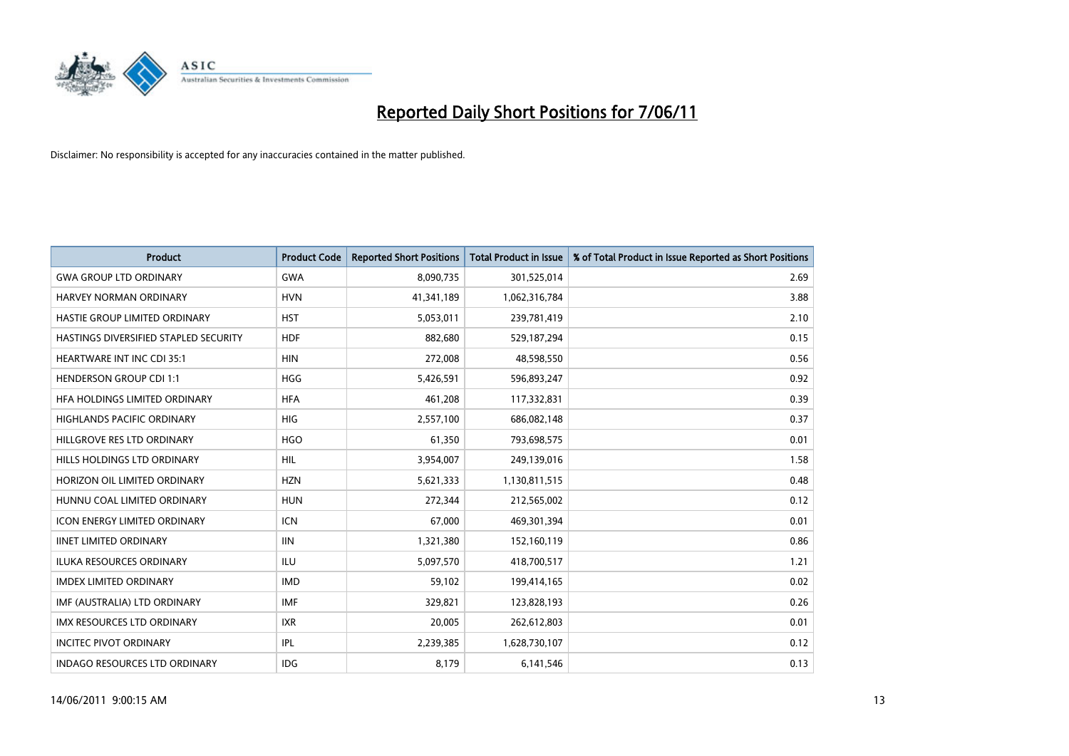

| <b>Product</b>                        | <b>Product Code</b> | <b>Reported Short Positions</b> | <b>Total Product in Issue</b> | % of Total Product in Issue Reported as Short Positions |
|---------------------------------------|---------------------|---------------------------------|-------------------------------|---------------------------------------------------------|
| <b>GWA GROUP LTD ORDINARY</b>         | <b>GWA</b>          | 8,090,735                       | 301,525,014                   | 2.69                                                    |
| <b>HARVEY NORMAN ORDINARY</b>         | <b>HVN</b>          | 41,341,189                      | 1,062,316,784                 | 3.88                                                    |
| <b>HASTIE GROUP LIMITED ORDINARY</b>  | <b>HST</b>          | 5,053,011                       | 239,781,419                   | 2.10                                                    |
| HASTINGS DIVERSIFIED STAPLED SECURITY | <b>HDF</b>          | 882,680                         | 529,187,294                   | 0.15                                                    |
| <b>HEARTWARE INT INC CDI 35:1</b>     | <b>HIN</b>          | 272,008                         | 48,598,550                    | 0.56                                                    |
| <b>HENDERSON GROUP CDI 1:1</b>        | <b>HGG</b>          | 5,426,591                       | 596,893,247                   | 0.92                                                    |
| HFA HOLDINGS LIMITED ORDINARY         | <b>HFA</b>          | 461,208                         | 117,332,831                   | 0.39                                                    |
| <b>HIGHLANDS PACIFIC ORDINARY</b>     | <b>HIG</b>          | 2,557,100                       | 686,082,148                   | 0.37                                                    |
| HILLGROVE RES LTD ORDINARY            | <b>HGO</b>          | 61,350                          | 793,698,575                   | 0.01                                                    |
| HILLS HOLDINGS LTD ORDINARY           | <b>HIL</b>          | 3,954,007                       | 249,139,016                   | 1.58                                                    |
| HORIZON OIL LIMITED ORDINARY          | <b>HZN</b>          | 5,621,333                       | 1,130,811,515                 | 0.48                                                    |
| HUNNU COAL LIMITED ORDINARY           | <b>HUN</b>          | 272,344                         | 212,565,002                   | 0.12                                                    |
| <b>ICON ENERGY LIMITED ORDINARY</b>   | <b>ICN</b>          | 67.000                          | 469,301,394                   | 0.01                                                    |
| <b>IINET LIMITED ORDINARY</b>         | <b>IIN</b>          | 1,321,380                       | 152,160,119                   | 0.86                                                    |
| ILUKA RESOURCES ORDINARY              | <b>ILU</b>          | 5,097,570                       | 418,700,517                   | 1.21                                                    |
| <b>IMDEX LIMITED ORDINARY</b>         | <b>IMD</b>          | 59,102                          | 199,414,165                   | 0.02                                                    |
| IMF (AUSTRALIA) LTD ORDINARY          | <b>IMF</b>          | 329,821                         | 123,828,193                   | 0.26                                                    |
| IMX RESOURCES LTD ORDINARY            | <b>IXR</b>          | 20,005                          | 262,612,803                   | 0.01                                                    |
| <b>INCITEC PIVOT ORDINARY</b>         | IPL                 | 2,239,385                       | 1,628,730,107                 | 0.12                                                    |
| <b>INDAGO RESOURCES LTD ORDINARY</b>  | <b>IDG</b>          | 8,179                           | 6,141,546                     | 0.13                                                    |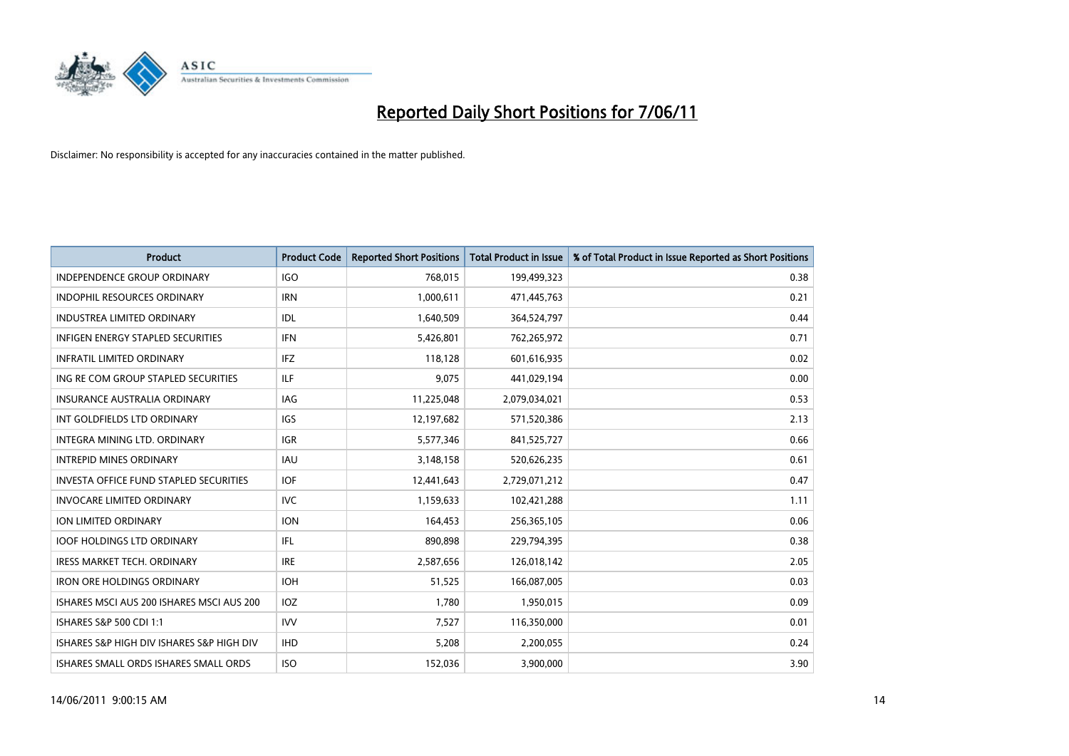

| <b>Product</b>                                | <b>Product Code</b> | <b>Reported Short Positions</b> | <b>Total Product in Issue</b> | % of Total Product in Issue Reported as Short Positions |
|-----------------------------------------------|---------------------|---------------------------------|-------------------------------|---------------------------------------------------------|
| <b>INDEPENDENCE GROUP ORDINARY</b>            | <b>IGO</b>          | 768,015                         | 199,499,323                   | 0.38                                                    |
| INDOPHIL RESOURCES ORDINARY                   | <b>IRN</b>          | 1,000,611                       | 471,445,763                   | 0.21                                                    |
| <b>INDUSTREA LIMITED ORDINARY</b>             | IDL                 | 1,640,509                       | 364,524,797                   | 0.44                                                    |
| INFIGEN ENERGY STAPLED SECURITIES             | <b>IFN</b>          | 5,426,801                       | 762,265,972                   | 0.71                                                    |
| <b>INFRATIL LIMITED ORDINARY</b>              | <b>IFZ</b>          | 118,128                         | 601,616,935                   | 0.02                                                    |
| ING RE COM GROUP STAPLED SECURITIES           | <b>ILF</b>          | 9,075                           | 441,029,194                   | 0.00                                                    |
| <b>INSURANCE AUSTRALIA ORDINARY</b>           | <b>IAG</b>          | 11,225,048                      | 2,079,034,021                 | 0.53                                                    |
| INT GOLDFIELDS LTD ORDINARY                   | <b>IGS</b>          | 12,197,682                      | 571,520,386                   | 2.13                                                    |
| INTEGRA MINING LTD, ORDINARY                  | <b>IGR</b>          | 5,577,346                       | 841,525,727                   | 0.66                                                    |
| <b>INTREPID MINES ORDINARY</b>                | <b>IAU</b>          | 3,148,158                       | 520,626,235                   | 0.61                                                    |
| <b>INVESTA OFFICE FUND STAPLED SECURITIES</b> | <b>IOF</b>          | 12,441,643                      | 2,729,071,212                 | 0.47                                                    |
| <b>INVOCARE LIMITED ORDINARY</b>              | <b>IVC</b>          | 1,159,633                       | 102,421,288                   | 1.11                                                    |
| ION LIMITED ORDINARY                          | <b>ION</b>          | 164,453                         | 256,365,105                   | 0.06                                                    |
| <b>IOOF HOLDINGS LTD ORDINARY</b>             | <b>IFL</b>          | 890,898                         | 229,794,395                   | 0.38                                                    |
| <b>IRESS MARKET TECH. ORDINARY</b>            | <b>IRE</b>          | 2,587,656                       | 126,018,142                   | 2.05                                                    |
| <b>IRON ORE HOLDINGS ORDINARY</b>             | <b>IOH</b>          | 51,525                          | 166,087,005                   | 0.03                                                    |
| ISHARES MSCI AUS 200 ISHARES MSCI AUS 200     | IOZ                 | 1,780                           | 1,950,015                     | 0.09                                                    |
| ISHARES S&P 500 CDI 1:1                       | <b>IVV</b>          | 7,527                           | 116,350,000                   | 0.01                                                    |
| ISHARES S&P HIGH DIV ISHARES S&P HIGH DIV     | <b>IHD</b>          | 5,208                           | 2,200,055                     | 0.24                                                    |
| <b>ISHARES SMALL ORDS ISHARES SMALL ORDS</b>  | <b>ISO</b>          | 152,036                         | 3,900,000                     | 3.90                                                    |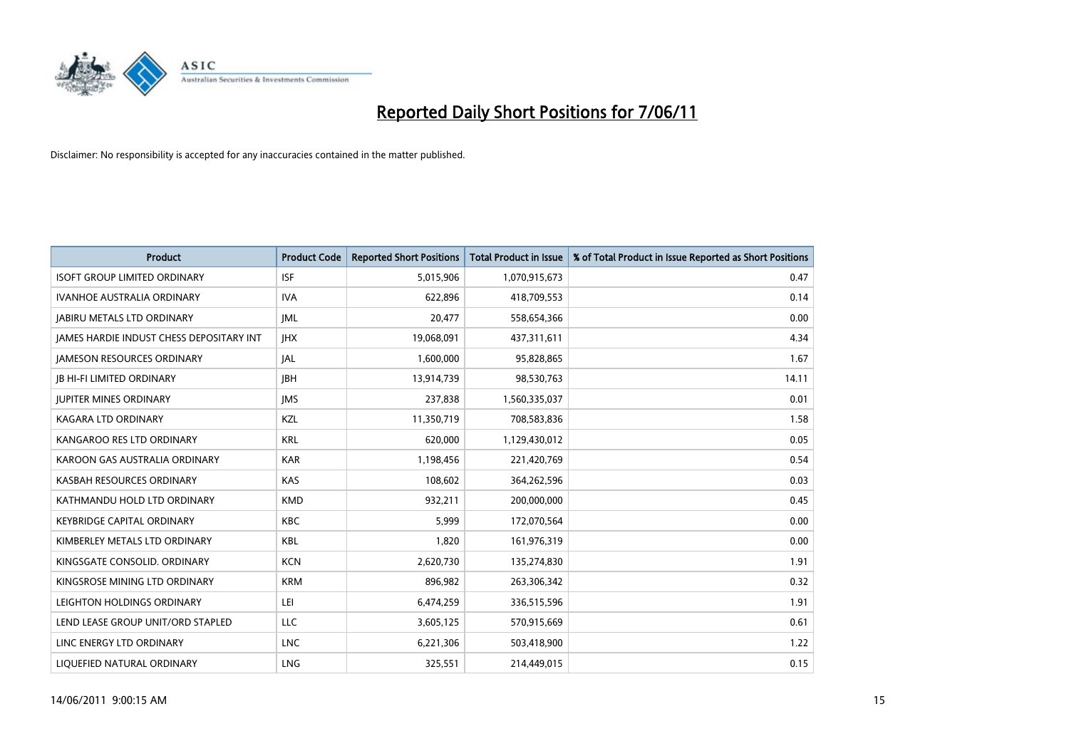

| <b>Product</b>                                  | <b>Product Code</b> | <b>Reported Short Positions</b> | <b>Total Product in Issue</b> | % of Total Product in Issue Reported as Short Positions |
|-------------------------------------------------|---------------------|---------------------------------|-------------------------------|---------------------------------------------------------|
| <b>ISOFT GROUP LIMITED ORDINARY</b>             | <b>ISF</b>          | 5,015,906                       | 1,070,915,673                 | 0.47                                                    |
| IVANHOE AUSTRALIA ORDINARY                      | <b>IVA</b>          | 622,896                         | 418,709,553                   | 0.14                                                    |
| <b>JABIRU METALS LTD ORDINARY</b>               | <b>IML</b>          | 20,477                          | 558,654,366                   | 0.00                                                    |
| <b>IAMES HARDIE INDUST CHESS DEPOSITARY INT</b> | <b>IHX</b>          | 19,068,091                      | 437,311,611                   | 4.34                                                    |
| <b>IAMESON RESOURCES ORDINARY</b>               | JAL                 | 1,600,000                       | 95,828,865                    | 1.67                                                    |
| <b>IB HI-FI LIMITED ORDINARY</b>                | <b>IBH</b>          | 13,914,739                      | 98,530,763                    | 14.11                                                   |
| JUPITER MINES ORDINARY                          | <b>IMS</b>          | 237,838                         | 1,560,335,037                 | 0.01                                                    |
| KAGARA LTD ORDINARY                             | KZL                 | 11,350,719                      | 708,583,836                   | 1.58                                                    |
| KANGAROO RES LTD ORDINARY                       | <b>KRL</b>          | 620,000                         | 1,129,430,012                 | 0.05                                                    |
| KAROON GAS AUSTRALIA ORDINARY                   | <b>KAR</b>          | 1,198,456                       | 221,420,769                   | 0.54                                                    |
| KASBAH RESOURCES ORDINARY                       | <b>KAS</b>          | 108,602                         | 364,262,596                   | 0.03                                                    |
| KATHMANDU HOLD LTD ORDINARY                     | <b>KMD</b>          | 932,211                         | 200,000,000                   | 0.45                                                    |
| <b>KEYBRIDGE CAPITAL ORDINARY</b>               | <b>KBC</b>          | 5,999                           | 172,070,564                   | 0.00                                                    |
| KIMBERLEY METALS LTD ORDINARY                   | <b>KBL</b>          | 1,820                           | 161,976,319                   | 0.00                                                    |
| KINGSGATE CONSOLID, ORDINARY                    | <b>KCN</b>          | 2,620,730                       | 135,274,830                   | 1.91                                                    |
| KINGSROSE MINING LTD ORDINARY                   | <b>KRM</b>          | 896,982                         | 263,306,342                   | 0.32                                                    |
| LEIGHTON HOLDINGS ORDINARY                      | LEI                 | 6,474,259                       | 336,515,596                   | 1.91                                                    |
| LEND LEASE GROUP UNIT/ORD STAPLED               | LLC                 | 3,605,125                       | 570,915,669                   | 0.61                                                    |
| LINC ENERGY LTD ORDINARY                        | <b>LNC</b>          | 6,221,306                       | 503,418,900                   | 1.22                                                    |
| LIQUEFIED NATURAL ORDINARY                      | <b>LNG</b>          | 325,551                         | 214,449,015                   | 0.15                                                    |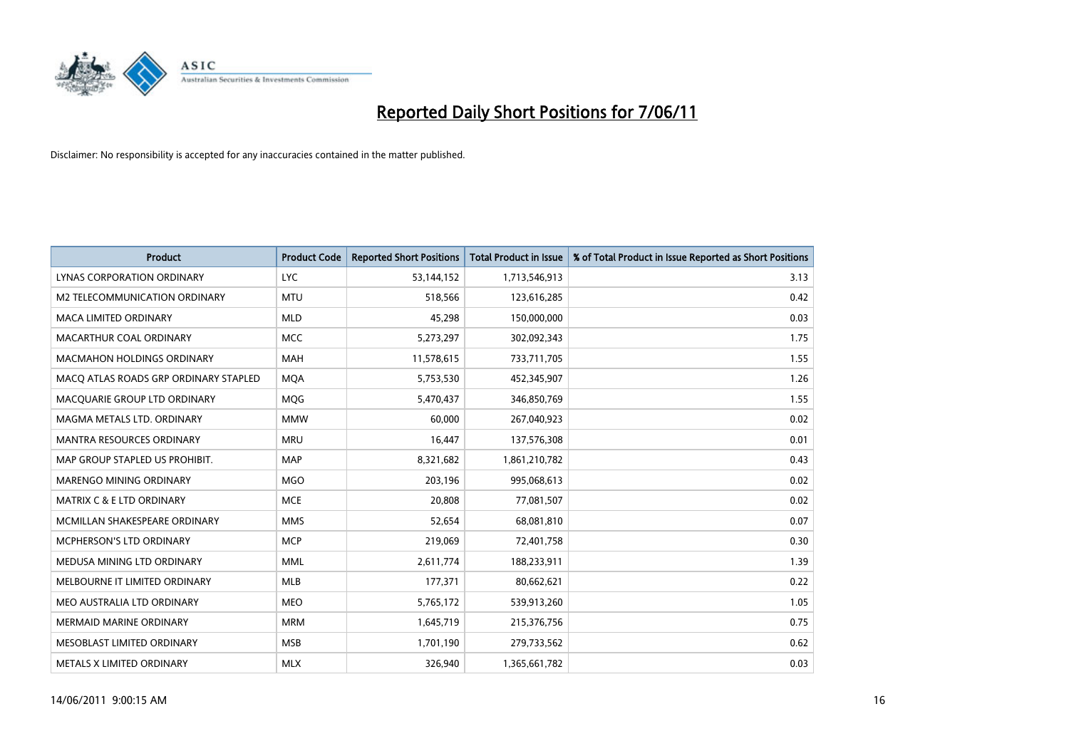

| <b>Product</b>                        | <b>Product Code</b> | <b>Reported Short Positions</b> | <b>Total Product in Issue</b> | % of Total Product in Issue Reported as Short Positions |
|---------------------------------------|---------------------|---------------------------------|-------------------------------|---------------------------------------------------------|
| LYNAS CORPORATION ORDINARY            | <b>LYC</b>          | 53,144,152                      | 1,713,546,913                 | 3.13                                                    |
| M2 TELECOMMUNICATION ORDINARY         | <b>MTU</b>          | 518,566                         | 123,616,285                   | 0.42                                                    |
| <b>MACA LIMITED ORDINARY</b>          | <b>MLD</b>          | 45,298                          | 150,000,000                   | 0.03                                                    |
| MACARTHUR COAL ORDINARY               | <b>MCC</b>          | 5,273,297                       | 302,092,343                   | 1.75                                                    |
| <b>MACMAHON HOLDINGS ORDINARY</b>     | <b>MAH</b>          | 11,578,615                      | 733,711,705                   | 1.55                                                    |
| MACQ ATLAS ROADS GRP ORDINARY STAPLED | <b>MQA</b>          | 5,753,530                       | 452,345,907                   | 1.26                                                    |
| MACQUARIE GROUP LTD ORDINARY          | MQG                 | 5,470,437                       | 346,850,769                   | 1.55                                                    |
| MAGMA METALS LTD. ORDINARY            | <b>MMW</b>          | 60,000                          | 267,040,923                   | 0.02                                                    |
| MANTRA RESOURCES ORDINARY             | <b>MRU</b>          | 16,447                          | 137,576,308                   | 0.01                                                    |
| MAP GROUP STAPLED US PROHIBIT.        | <b>MAP</b>          | 8,321,682                       | 1,861,210,782                 | 0.43                                                    |
| MARENGO MINING ORDINARY               | <b>MGO</b>          | 203,196                         | 995,068,613                   | 0.02                                                    |
| MATRIX C & E LTD ORDINARY             | <b>MCE</b>          | 20,808                          | 77,081,507                    | 0.02                                                    |
| MCMILLAN SHAKESPEARE ORDINARY         | <b>MMS</b>          | 52,654                          | 68,081,810                    | 0.07                                                    |
| <b>MCPHERSON'S LTD ORDINARY</b>       | <b>MCP</b>          | 219,069                         | 72,401,758                    | 0.30                                                    |
| MEDUSA MINING LTD ORDINARY            | <b>MML</b>          | 2,611,774                       | 188,233,911                   | 1.39                                                    |
| MELBOURNE IT LIMITED ORDINARY         | <b>MLB</b>          | 177,371                         | 80,662,621                    | 0.22                                                    |
| MEO AUSTRALIA LTD ORDINARY            | <b>MEO</b>          | 5,765,172                       | 539,913,260                   | 1.05                                                    |
| MERMAID MARINE ORDINARY               | <b>MRM</b>          | 1,645,719                       | 215,376,756                   | 0.75                                                    |
| MESOBLAST LIMITED ORDINARY            | <b>MSB</b>          | 1,701,190                       | 279,733,562                   | 0.62                                                    |
| METALS X LIMITED ORDINARY             | <b>MLX</b>          | 326,940                         | 1,365,661,782                 | 0.03                                                    |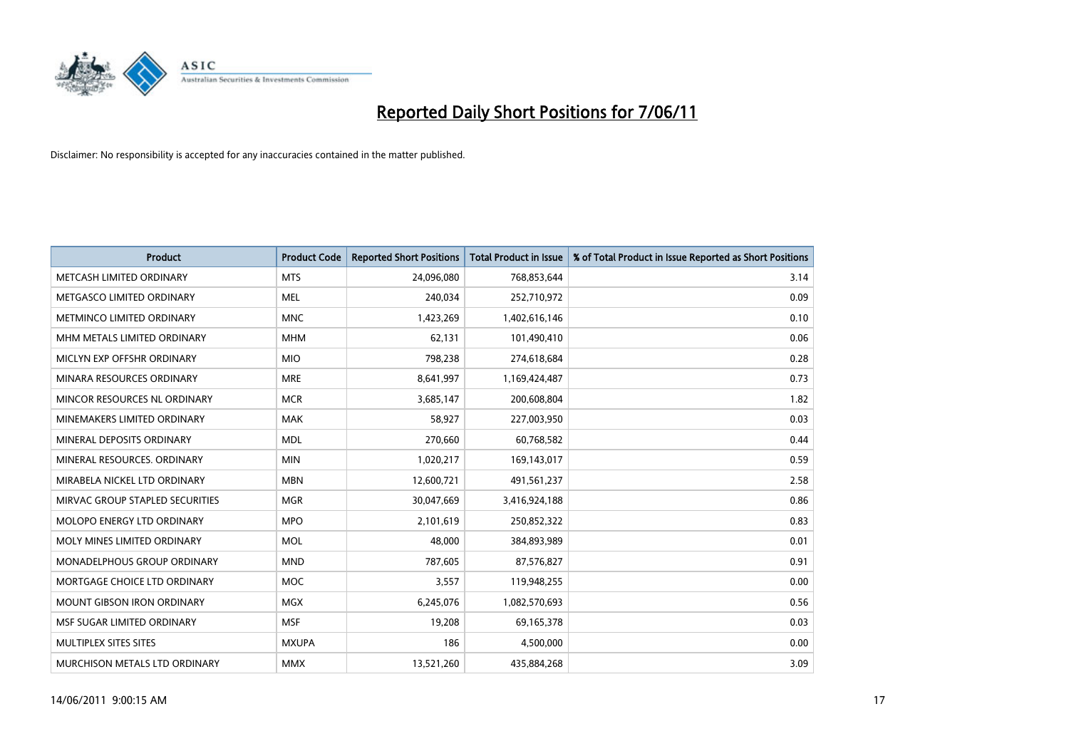

| <b>Product</b>                  | <b>Product Code</b> | <b>Reported Short Positions</b> | <b>Total Product in Issue</b> | % of Total Product in Issue Reported as Short Positions |
|---------------------------------|---------------------|---------------------------------|-------------------------------|---------------------------------------------------------|
| METCASH LIMITED ORDINARY        | <b>MTS</b>          | 24,096,080                      | 768,853,644                   | 3.14                                                    |
| METGASCO LIMITED ORDINARY       | <b>MEL</b>          | 240,034                         | 252,710,972                   | 0.09                                                    |
| METMINCO LIMITED ORDINARY       | <b>MNC</b>          | 1,423,269                       | 1,402,616,146                 | 0.10                                                    |
| MHM METALS LIMITED ORDINARY     | <b>MHM</b>          | 62,131                          | 101,490,410                   | 0.06                                                    |
| MICLYN EXP OFFSHR ORDINARY      | <b>MIO</b>          | 798,238                         | 274,618,684                   | 0.28                                                    |
| MINARA RESOURCES ORDINARY       | <b>MRE</b>          | 8,641,997                       | 1,169,424,487                 | 0.73                                                    |
| MINCOR RESOURCES NL ORDINARY    | <b>MCR</b>          | 3,685,147                       | 200,608,804                   | 1.82                                                    |
| MINEMAKERS LIMITED ORDINARY     | <b>MAK</b>          | 58,927                          | 227,003,950                   | 0.03                                                    |
| MINERAL DEPOSITS ORDINARY       | <b>MDL</b>          | 270,660                         | 60,768,582                    | 0.44                                                    |
| MINERAL RESOURCES, ORDINARY     | <b>MIN</b>          | 1,020,217                       | 169,143,017                   | 0.59                                                    |
| MIRABELA NICKEL LTD ORDINARY    | <b>MBN</b>          | 12,600,721                      | 491,561,237                   | 2.58                                                    |
| MIRVAC GROUP STAPLED SECURITIES | <b>MGR</b>          | 30,047,669                      | 3,416,924,188                 | 0.86                                                    |
| MOLOPO ENERGY LTD ORDINARY      | <b>MPO</b>          | 2,101,619                       | 250,852,322                   | 0.83                                                    |
| MOLY MINES LIMITED ORDINARY     | <b>MOL</b>          | 48,000                          | 384,893,989                   | 0.01                                                    |
| MONADELPHOUS GROUP ORDINARY     | <b>MND</b>          | 787,605                         | 87,576,827                    | 0.91                                                    |
| MORTGAGE CHOICE LTD ORDINARY    | <b>MOC</b>          | 3,557                           | 119,948,255                   | 0.00                                                    |
| MOUNT GIBSON IRON ORDINARY      | <b>MGX</b>          | 6,245,076                       | 1,082,570,693                 | 0.56                                                    |
| MSF SUGAR LIMITED ORDINARY      | <b>MSF</b>          | 19,208                          | 69,165,378                    | 0.03                                                    |
| MULTIPLEX SITES SITES           | <b>MXUPA</b>        | 186                             | 4,500,000                     | 0.00                                                    |
| MURCHISON METALS LTD ORDINARY   | <b>MMX</b>          | 13,521,260                      | 435,884,268                   | 3.09                                                    |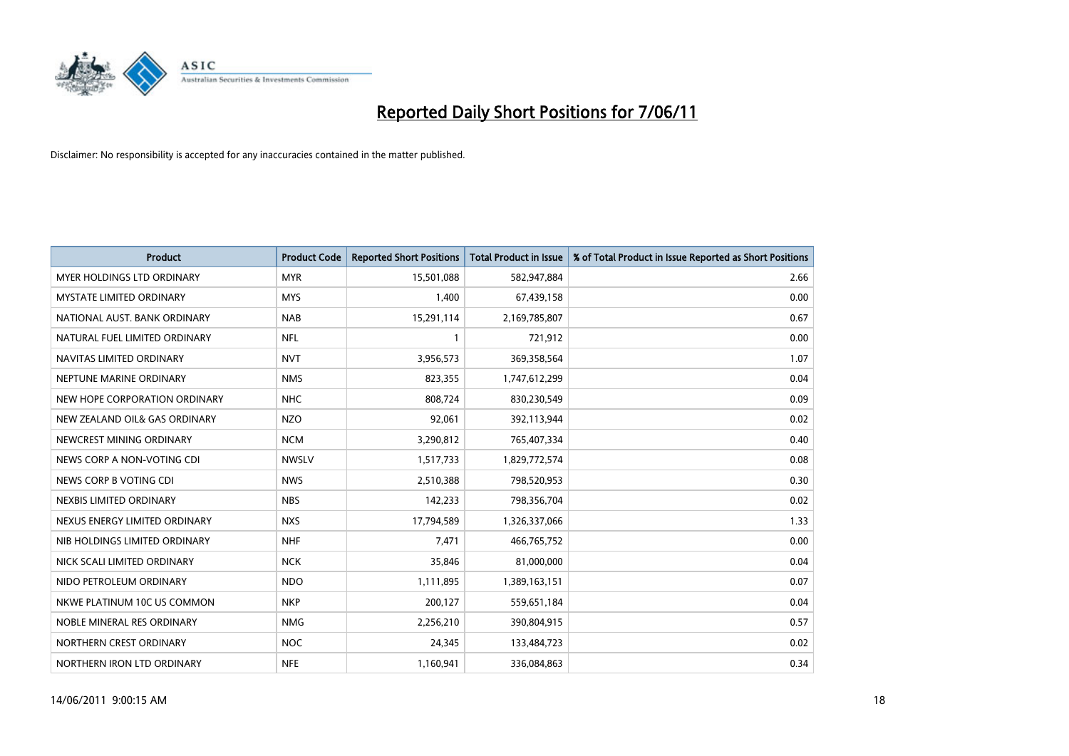

| <b>Product</b>                    | <b>Product Code</b> | <b>Reported Short Positions</b> | <b>Total Product in Issue</b> | % of Total Product in Issue Reported as Short Positions |
|-----------------------------------|---------------------|---------------------------------|-------------------------------|---------------------------------------------------------|
| <b>MYER HOLDINGS LTD ORDINARY</b> | <b>MYR</b>          | 15,501,088                      | 582,947,884                   | 2.66                                                    |
| <b>MYSTATE LIMITED ORDINARY</b>   | <b>MYS</b>          | 1,400                           | 67,439,158                    | 0.00                                                    |
| NATIONAL AUST. BANK ORDINARY      | <b>NAB</b>          | 15,291,114                      | 2,169,785,807                 | 0.67                                                    |
| NATURAL FUEL LIMITED ORDINARY     | <b>NFL</b>          |                                 | 721,912                       | 0.00                                                    |
| NAVITAS LIMITED ORDINARY          | <b>NVT</b>          | 3,956,573                       | 369,358,564                   | 1.07                                                    |
| NEPTUNE MARINE ORDINARY           | <b>NMS</b>          | 823,355                         | 1,747,612,299                 | 0.04                                                    |
| NEW HOPE CORPORATION ORDINARY     | <b>NHC</b>          | 808.724                         | 830,230,549                   | 0.09                                                    |
| NEW ZEALAND OIL& GAS ORDINARY     | <b>NZO</b>          | 92,061                          | 392,113,944                   | 0.02                                                    |
| NEWCREST MINING ORDINARY          | <b>NCM</b>          | 3,290,812                       | 765,407,334                   | 0.40                                                    |
| NEWS CORP A NON-VOTING CDI        | <b>NWSLV</b>        | 1,517,733                       | 1,829,772,574                 | 0.08                                                    |
| NEWS CORP B VOTING CDI            | <b>NWS</b>          | 2,510,388                       | 798,520,953                   | 0.30                                                    |
| NEXBIS LIMITED ORDINARY           | <b>NBS</b>          | 142,233                         | 798,356,704                   | 0.02                                                    |
| NEXUS ENERGY LIMITED ORDINARY     | <b>NXS</b>          | 17,794,589                      | 1,326,337,066                 | 1.33                                                    |
| NIB HOLDINGS LIMITED ORDINARY     | <b>NHF</b>          | 7,471                           | 466,765,752                   | 0.00                                                    |
| NICK SCALI LIMITED ORDINARY       | <b>NCK</b>          | 35,846                          | 81,000,000                    | 0.04                                                    |
| NIDO PETROLEUM ORDINARY           | <b>NDO</b>          | 1,111,895                       | 1,389,163,151                 | 0.07                                                    |
| NKWE PLATINUM 10C US COMMON       | <b>NKP</b>          | 200,127                         | 559,651,184                   | 0.04                                                    |
| NOBLE MINERAL RES ORDINARY        | <b>NMG</b>          | 2,256,210                       | 390,804,915                   | 0.57                                                    |
| NORTHERN CREST ORDINARY           | <b>NOC</b>          | 24,345                          | 133,484,723                   | 0.02                                                    |
| NORTHERN IRON LTD ORDINARY        | <b>NFE</b>          | 1,160,941                       | 336,084,863                   | 0.34                                                    |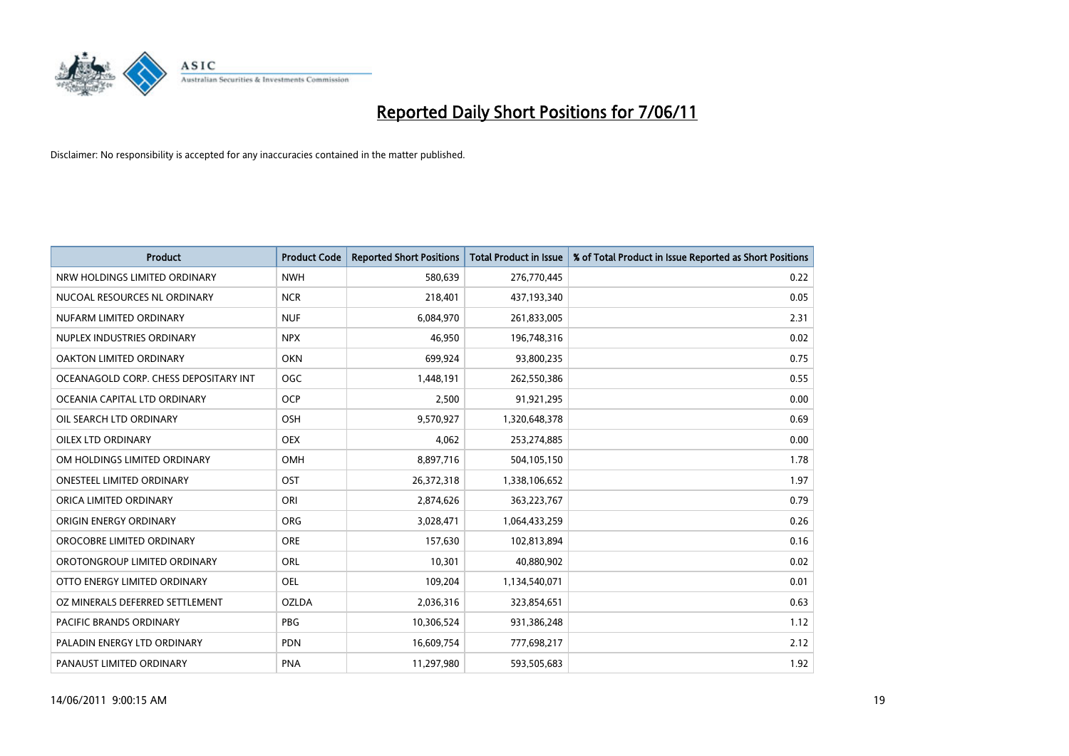

| <b>Product</b>                        | <b>Product Code</b> | <b>Reported Short Positions</b> | <b>Total Product in Issue</b> | % of Total Product in Issue Reported as Short Positions |
|---------------------------------------|---------------------|---------------------------------|-------------------------------|---------------------------------------------------------|
| NRW HOLDINGS LIMITED ORDINARY         | <b>NWH</b>          | 580,639                         | 276,770,445                   | 0.22                                                    |
| NUCOAL RESOURCES NL ORDINARY          | <b>NCR</b>          | 218,401                         | 437,193,340                   | 0.05                                                    |
| NUFARM LIMITED ORDINARY               | <b>NUF</b>          | 6,084,970                       | 261,833,005                   | 2.31                                                    |
| NUPLEX INDUSTRIES ORDINARY            | <b>NPX</b>          | 46,950                          | 196,748,316                   | 0.02                                                    |
| OAKTON LIMITED ORDINARY               | <b>OKN</b>          | 699,924                         | 93,800,235                    | 0.75                                                    |
| OCEANAGOLD CORP. CHESS DEPOSITARY INT | <b>OGC</b>          | 1,448,191                       | 262,550,386                   | 0.55                                                    |
| OCEANIA CAPITAL LTD ORDINARY          | <b>OCP</b>          | 2,500                           | 91,921,295                    | 0.00                                                    |
| OIL SEARCH LTD ORDINARY               | OSH                 | 9,570,927                       | 1,320,648,378                 | 0.69                                                    |
| <b>OILEX LTD ORDINARY</b>             | <b>OEX</b>          | 4,062                           | 253,274,885                   | 0.00                                                    |
| OM HOLDINGS LIMITED ORDINARY          | OMH                 | 8,897,716                       | 504,105,150                   | 1.78                                                    |
| ONESTEEL LIMITED ORDINARY             | OST                 | 26,372,318                      | 1,338,106,652                 | 1.97                                                    |
| ORICA LIMITED ORDINARY                | ORI                 | 2,874,626                       | 363,223,767                   | 0.79                                                    |
| ORIGIN ENERGY ORDINARY                | <b>ORG</b>          | 3,028,471                       | 1,064,433,259                 | 0.26                                                    |
| OROCOBRE LIMITED ORDINARY             | <b>ORE</b>          | 157,630                         | 102,813,894                   | 0.16                                                    |
| OROTONGROUP LIMITED ORDINARY          | <b>ORL</b>          | 10,301                          | 40,880,902                    | 0.02                                                    |
| OTTO ENERGY LIMITED ORDINARY          | <b>OEL</b>          | 109,204                         | 1,134,540,071                 | 0.01                                                    |
| OZ MINERALS DEFERRED SETTLEMENT       | <b>OZLDA</b>        | 2,036,316                       | 323,854,651                   | 0.63                                                    |
| PACIFIC BRANDS ORDINARY               | <b>PBG</b>          | 10,306,524                      | 931,386,248                   | 1.12                                                    |
| PALADIN ENERGY LTD ORDINARY           | <b>PDN</b>          | 16,609,754                      | 777,698,217                   | 2.12                                                    |
| PANAUST LIMITED ORDINARY              | <b>PNA</b>          | 11,297,980                      | 593,505,683                   | 1.92                                                    |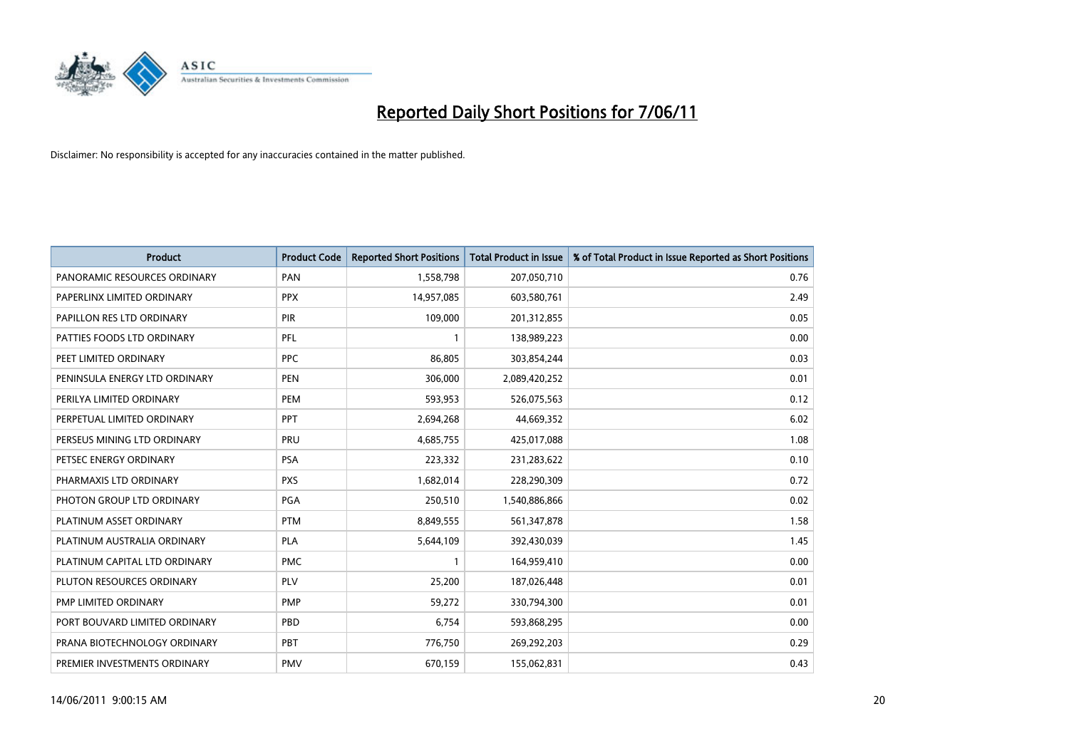

| <b>Product</b>                | <b>Product Code</b> | <b>Reported Short Positions</b> | <b>Total Product in Issue</b> | % of Total Product in Issue Reported as Short Positions |
|-------------------------------|---------------------|---------------------------------|-------------------------------|---------------------------------------------------------|
| PANORAMIC RESOURCES ORDINARY  | PAN                 | 1,558,798                       | 207,050,710                   | 0.76                                                    |
| PAPERLINX LIMITED ORDINARY    | <b>PPX</b>          | 14,957,085                      | 603,580,761                   | 2.49                                                    |
| PAPILLON RES LTD ORDINARY     | PIR                 | 109,000                         | 201,312,855                   | 0.05                                                    |
| PATTIES FOODS LTD ORDINARY    | PFL                 |                                 | 138,989,223                   | 0.00                                                    |
| PEET LIMITED ORDINARY         | <b>PPC</b>          | 86,805                          | 303,854,244                   | 0.03                                                    |
| PENINSULA ENERGY LTD ORDINARY | <b>PEN</b>          | 306,000                         | 2,089,420,252                 | 0.01                                                    |
| PERILYA LIMITED ORDINARY      | PEM                 | 593,953                         | 526,075,563                   | 0.12                                                    |
| PERPETUAL LIMITED ORDINARY    | <b>PPT</b>          | 2,694,268                       | 44,669,352                    | 6.02                                                    |
| PERSEUS MINING LTD ORDINARY   | PRU                 | 4,685,755                       | 425,017,088                   | 1.08                                                    |
| PETSEC ENERGY ORDINARY        | <b>PSA</b>          | 223,332                         | 231,283,622                   | 0.10                                                    |
| PHARMAXIS LTD ORDINARY        | <b>PXS</b>          | 1,682,014                       | 228,290,309                   | 0.72                                                    |
| PHOTON GROUP LTD ORDINARY     | PGA                 | 250,510                         | 1,540,886,866                 | 0.02                                                    |
| PLATINUM ASSET ORDINARY       | <b>PTM</b>          | 8,849,555                       | 561,347,878                   | 1.58                                                    |
| PLATINUM AUSTRALIA ORDINARY   | PLA                 | 5,644,109                       | 392,430,039                   | 1.45                                                    |
| PLATINUM CAPITAL LTD ORDINARY | <b>PMC</b>          |                                 | 164,959,410                   | 0.00                                                    |
| PLUTON RESOURCES ORDINARY     | PLV                 | 25,200                          | 187,026,448                   | 0.01                                                    |
| PMP LIMITED ORDINARY          | <b>PMP</b>          | 59,272                          | 330,794,300                   | 0.01                                                    |
| PORT BOUVARD LIMITED ORDINARY | PBD                 | 6,754                           | 593,868,295                   | 0.00                                                    |
| PRANA BIOTECHNOLOGY ORDINARY  | PBT                 | 776,750                         | 269,292,203                   | 0.29                                                    |
| PREMIER INVESTMENTS ORDINARY  | <b>PMV</b>          | 670,159                         | 155,062,831                   | 0.43                                                    |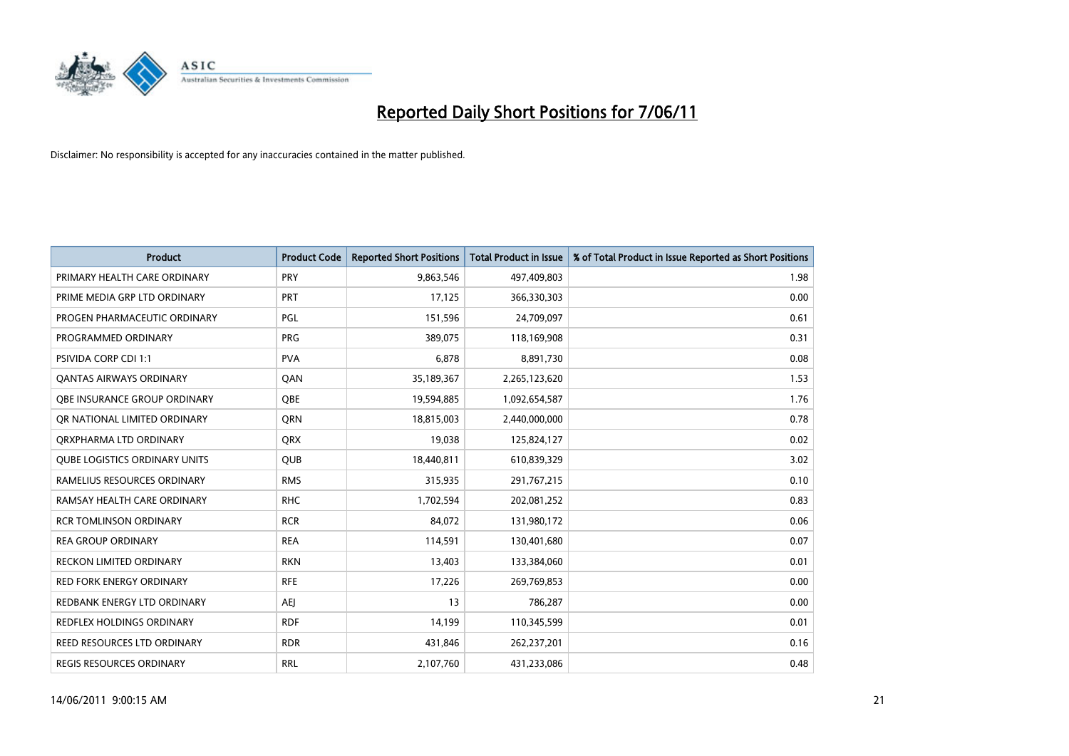

| <b>Product</b>                       | <b>Product Code</b> | <b>Reported Short Positions</b> | Total Product in Issue | % of Total Product in Issue Reported as Short Positions |
|--------------------------------------|---------------------|---------------------------------|------------------------|---------------------------------------------------------|
| PRIMARY HEALTH CARE ORDINARY         | PRY                 | 9,863,546                       | 497,409,803            | 1.98                                                    |
| PRIME MEDIA GRP LTD ORDINARY         | PRT                 | 17,125                          | 366,330,303            | 0.00                                                    |
| PROGEN PHARMACEUTIC ORDINARY         | PGL                 | 151,596                         | 24,709,097             | 0.61                                                    |
| PROGRAMMED ORDINARY                  | <b>PRG</b>          | 389,075                         | 118,169,908            | 0.31                                                    |
| PSIVIDA CORP CDI 1:1                 | <b>PVA</b>          | 6,878                           | 8,891,730              | 0.08                                                    |
| <b>QANTAS AIRWAYS ORDINARY</b>       | QAN                 | 35,189,367                      | 2,265,123,620          | 1.53                                                    |
| OBE INSURANCE GROUP ORDINARY         | OBE                 | 19,594,885                      | 1,092,654,587          | 1.76                                                    |
| OR NATIONAL LIMITED ORDINARY         | <b>ORN</b>          | 18,815,003                      | 2,440,000,000          | 0.78                                                    |
| ORXPHARMA LTD ORDINARY               | <b>ORX</b>          | 19,038                          | 125,824,127            | 0.02                                                    |
| <b>QUBE LOGISTICS ORDINARY UNITS</b> | <b>QUB</b>          | 18,440,811                      | 610,839,329            | 3.02                                                    |
| RAMELIUS RESOURCES ORDINARY          | <b>RMS</b>          | 315,935                         | 291,767,215            | 0.10                                                    |
| RAMSAY HEALTH CARE ORDINARY          | <b>RHC</b>          | 1,702,594                       | 202,081,252            | 0.83                                                    |
| <b>RCR TOMLINSON ORDINARY</b>        | <b>RCR</b>          | 84,072                          | 131,980,172            | 0.06                                                    |
| <b>REA GROUP ORDINARY</b>            | <b>REA</b>          | 114,591                         | 130,401,680            | 0.07                                                    |
| <b>RECKON LIMITED ORDINARY</b>       | <b>RKN</b>          | 13,403                          | 133,384,060            | 0.01                                                    |
| RED FORK ENERGY ORDINARY             | <b>RFE</b>          | 17,226                          | 269,769,853            | 0.00                                                    |
| REDBANK ENERGY LTD ORDINARY          | <b>AEI</b>          | 13                              | 786,287                | 0.00                                                    |
| REDFLEX HOLDINGS ORDINARY            | <b>RDF</b>          | 14,199                          | 110,345,599            | 0.01                                                    |
| REED RESOURCES LTD ORDINARY          | <b>RDR</b>          | 431,846                         | 262,237,201            | 0.16                                                    |
| <b>REGIS RESOURCES ORDINARY</b>      | <b>RRL</b>          | 2,107,760                       | 431,233,086            | 0.48                                                    |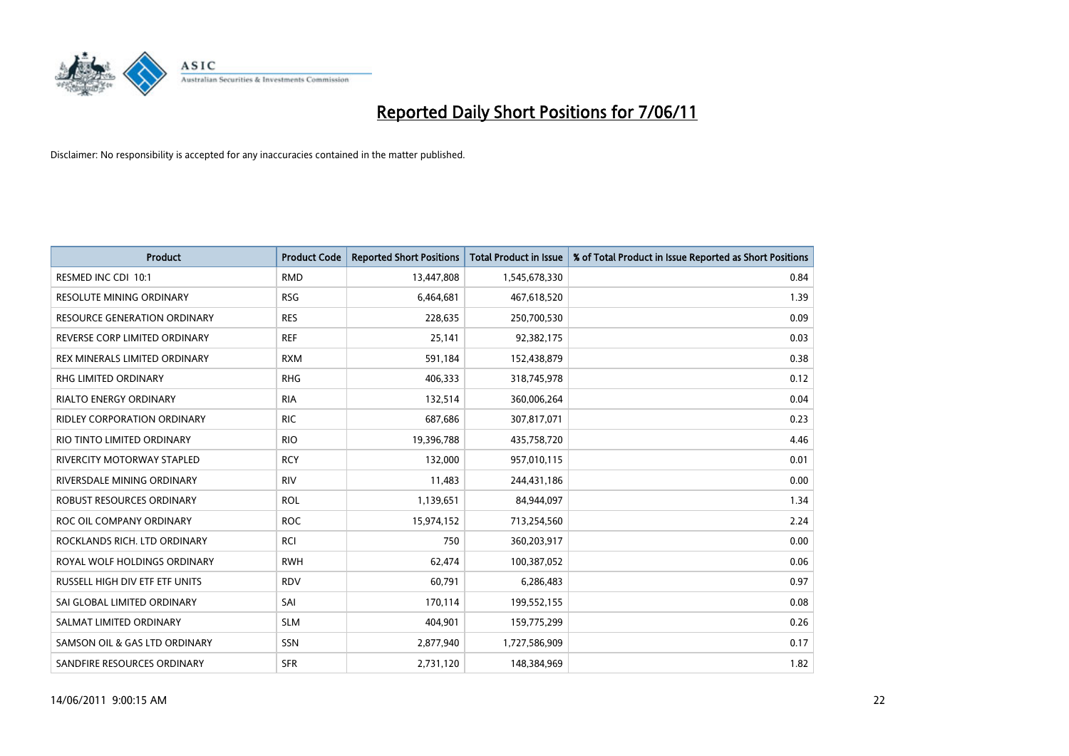

| <b>Product</b>                      | <b>Product Code</b> | <b>Reported Short Positions</b> | <b>Total Product in Issue</b> | % of Total Product in Issue Reported as Short Positions |
|-------------------------------------|---------------------|---------------------------------|-------------------------------|---------------------------------------------------------|
| RESMED INC CDI 10:1                 | <b>RMD</b>          | 13,447,808                      | 1,545,678,330                 | 0.84                                                    |
| RESOLUTE MINING ORDINARY            | <b>RSG</b>          | 6,464,681                       | 467,618,520                   | 1.39                                                    |
| <b>RESOURCE GENERATION ORDINARY</b> | <b>RES</b>          | 228,635                         | 250,700,530                   | 0.09                                                    |
| REVERSE CORP LIMITED ORDINARY       | <b>REF</b>          | 25,141                          | 92,382,175                    | 0.03                                                    |
| REX MINERALS LIMITED ORDINARY       | <b>RXM</b>          | 591,184                         | 152,438,879                   | 0.38                                                    |
| <b>RHG LIMITED ORDINARY</b>         | <b>RHG</b>          | 406,333                         | 318,745,978                   | 0.12                                                    |
| <b>RIALTO ENERGY ORDINARY</b>       | <b>RIA</b>          | 132,514                         | 360,006,264                   | 0.04                                                    |
| <b>RIDLEY CORPORATION ORDINARY</b>  | <b>RIC</b>          | 687,686                         | 307,817,071                   | 0.23                                                    |
| RIO TINTO LIMITED ORDINARY          | <b>RIO</b>          | 19,396,788                      | 435,758,720                   | 4.46                                                    |
| RIVERCITY MOTORWAY STAPLED          | <b>RCY</b>          | 132,000                         | 957,010,115                   | 0.01                                                    |
| RIVERSDALE MINING ORDINARY          | <b>RIV</b>          | 11,483                          | 244,431,186                   | 0.00                                                    |
| ROBUST RESOURCES ORDINARY           | <b>ROL</b>          | 1,139,651                       | 84,944,097                    | 1.34                                                    |
| ROC OIL COMPANY ORDINARY            | <b>ROC</b>          | 15,974,152                      | 713,254,560                   | 2.24                                                    |
| ROCKLANDS RICH. LTD ORDINARY        | <b>RCI</b>          | 750                             | 360,203,917                   | 0.00                                                    |
| ROYAL WOLF HOLDINGS ORDINARY        | <b>RWH</b>          | 62,474                          | 100,387,052                   | 0.06                                                    |
| RUSSELL HIGH DIV ETF ETF UNITS      | <b>RDV</b>          | 60,791                          | 6,286,483                     | 0.97                                                    |
| SAI GLOBAL LIMITED ORDINARY         | SAI                 | 170,114                         | 199,552,155                   | 0.08                                                    |
| SALMAT LIMITED ORDINARY             | <b>SLM</b>          | 404,901                         | 159,775,299                   | 0.26                                                    |
| SAMSON OIL & GAS LTD ORDINARY       | SSN                 | 2,877,940                       | 1,727,586,909                 | 0.17                                                    |
| SANDFIRE RESOURCES ORDINARY         | <b>SFR</b>          | 2,731,120                       | 148,384,969                   | 1.82                                                    |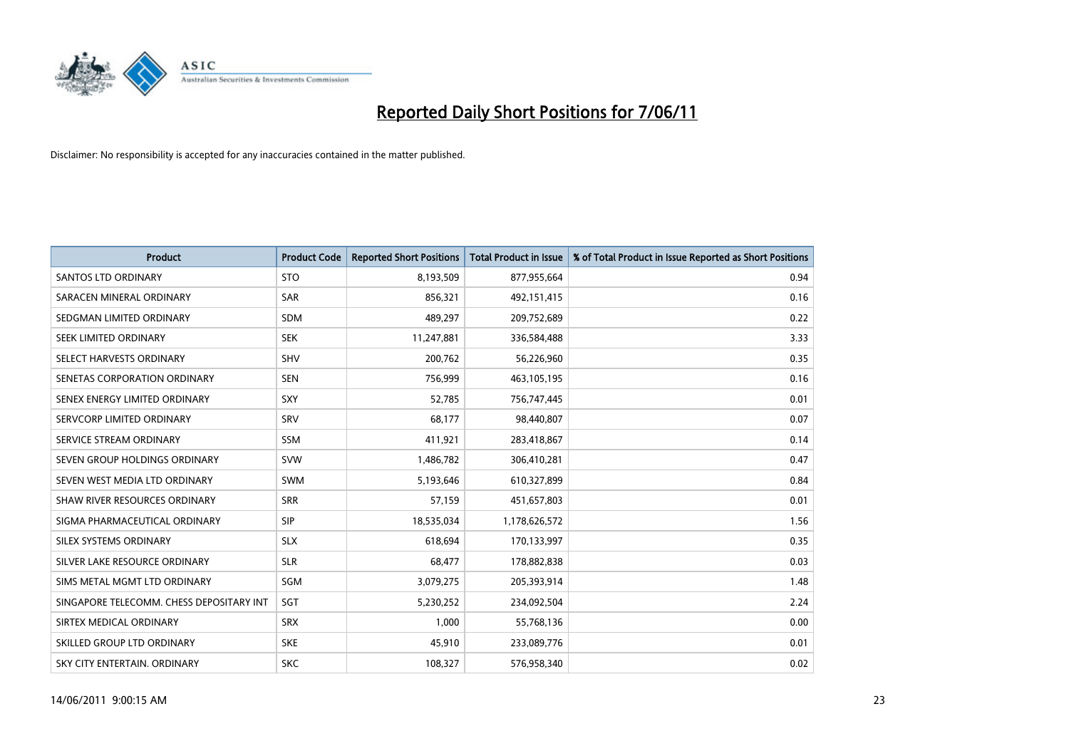

| <b>Product</b>                           | <b>Product Code</b> | <b>Reported Short Positions</b> | Total Product in Issue | % of Total Product in Issue Reported as Short Positions |
|------------------------------------------|---------------------|---------------------------------|------------------------|---------------------------------------------------------|
| <b>SANTOS LTD ORDINARY</b>               | <b>STO</b>          | 8,193,509                       | 877,955,664            | 0.94                                                    |
| SARACEN MINERAL ORDINARY                 | <b>SAR</b>          | 856.321                         | 492,151,415            | 0.16                                                    |
| SEDGMAN LIMITED ORDINARY                 | <b>SDM</b>          | 489,297                         | 209,752,689            | 0.22                                                    |
| SEEK LIMITED ORDINARY                    | <b>SEK</b>          | 11,247,881                      | 336,584,488            | 3.33                                                    |
| SELECT HARVESTS ORDINARY                 | SHV                 | 200,762                         | 56,226,960             | 0.35                                                    |
| SENETAS CORPORATION ORDINARY             | <b>SEN</b>          | 756,999                         | 463,105,195            | 0.16                                                    |
| SENEX ENERGY LIMITED ORDINARY            | SXY                 | 52,785                          | 756,747,445            | 0.01                                                    |
| SERVCORP LIMITED ORDINARY                | SRV                 | 68,177                          | 98,440,807             | 0.07                                                    |
| SERVICE STREAM ORDINARY                  | <b>SSM</b>          | 411,921                         | 283,418,867            | 0.14                                                    |
| SEVEN GROUP HOLDINGS ORDINARY            | <b>SVW</b>          | 1,486,782                       | 306,410,281            | 0.47                                                    |
| SEVEN WEST MEDIA LTD ORDINARY            | SWM                 | 5,193,646                       | 610,327,899            | 0.84                                                    |
| SHAW RIVER RESOURCES ORDINARY            | <b>SRR</b>          | 57,159                          | 451,657,803            | 0.01                                                    |
| SIGMA PHARMACEUTICAL ORDINARY            | SIP                 | 18,535,034                      | 1,178,626,572          | 1.56                                                    |
| SILEX SYSTEMS ORDINARY                   | <b>SLX</b>          | 618.694                         | 170,133,997            | 0.35                                                    |
| SILVER LAKE RESOURCE ORDINARY            | <b>SLR</b>          | 68,477                          | 178,882,838            | 0.03                                                    |
| SIMS METAL MGMT LTD ORDINARY             | SGM                 | 3,079,275                       | 205,393,914            | 1.48                                                    |
| SINGAPORE TELECOMM. CHESS DEPOSITARY INT | SGT                 | 5,230,252                       | 234,092,504            | 2.24                                                    |
| SIRTEX MEDICAL ORDINARY                  | <b>SRX</b>          | 1,000                           | 55,768,136             | 0.00                                                    |
| SKILLED GROUP LTD ORDINARY               | <b>SKE</b>          | 45,910                          | 233,089,776            | 0.01                                                    |
| SKY CITY ENTERTAIN, ORDINARY             | <b>SKC</b>          | 108.327                         | 576,958,340            | 0.02                                                    |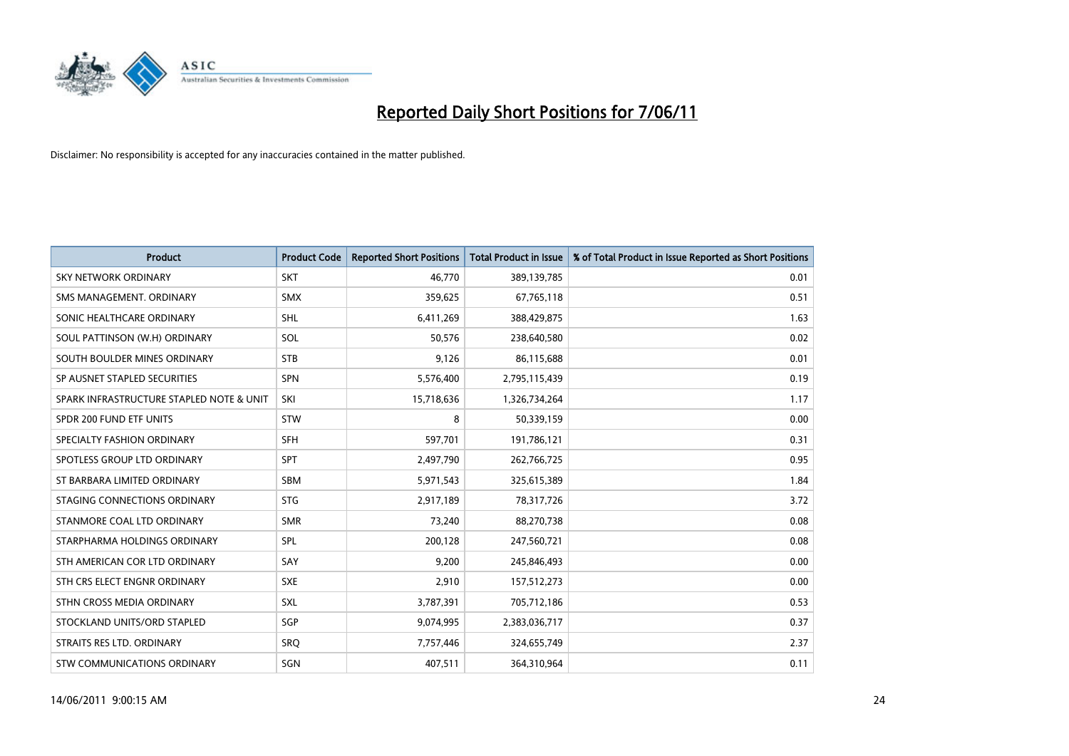

| <b>Product</b>                           | <b>Product Code</b> | <b>Reported Short Positions</b> | Total Product in Issue | % of Total Product in Issue Reported as Short Positions |
|------------------------------------------|---------------------|---------------------------------|------------------------|---------------------------------------------------------|
| <b>SKY NETWORK ORDINARY</b>              | <b>SKT</b>          | 46,770                          | 389,139,785            | 0.01                                                    |
| SMS MANAGEMENT. ORDINARY                 | <b>SMX</b>          | 359,625                         | 67,765,118             | 0.51                                                    |
| SONIC HEALTHCARE ORDINARY                | <b>SHL</b>          | 6,411,269                       | 388,429,875            | 1.63                                                    |
| SOUL PATTINSON (W.H) ORDINARY            | SOL                 | 50,576                          | 238,640,580            | 0.02                                                    |
| SOUTH BOULDER MINES ORDINARY             | <b>STB</b>          | 9,126                           | 86,115,688             | 0.01                                                    |
| SP AUSNET STAPLED SECURITIES             | SPN                 | 5,576,400                       | 2,795,115,439          | 0.19                                                    |
| SPARK INFRASTRUCTURE STAPLED NOTE & UNIT | <b>SKI</b>          | 15,718,636                      | 1,326,734,264          | 1.17                                                    |
| SPDR 200 FUND ETF UNITS                  | STW                 | 8                               | 50,339,159             | 0.00                                                    |
| SPECIALTY FASHION ORDINARY               | <b>SFH</b>          | 597,701                         | 191,786,121            | 0.31                                                    |
| SPOTLESS GROUP LTD ORDINARY              | <b>SPT</b>          | 2,497,790                       | 262,766,725            | 0.95                                                    |
| ST BARBARA LIMITED ORDINARY              | <b>SBM</b>          | 5,971,543                       | 325,615,389            | 1.84                                                    |
| STAGING CONNECTIONS ORDINARY             | <b>STG</b>          | 2,917,189                       | 78,317,726             | 3.72                                                    |
| STANMORE COAL LTD ORDINARY               | <b>SMR</b>          | 73,240                          | 88,270,738             | 0.08                                                    |
| STARPHARMA HOLDINGS ORDINARY             | SPL                 | 200,128                         | 247,560,721            | 0.08                                                    |
| STH AMERICAN COR LTD ORDINARY            | SAY                 | 9,200                           | 245,846,493            | 0.00                                                    |
| STH CRS ELECT ENGNR ORDINARY             | <b>SXE</b>          | 2,910                           | 157,512,273            | 0.00                                                    |
| STHN CROSS MEDIA ORDINARY                | SXL                 | 3,787,391                       | 705,712,186            | 0.53                                                    |
| STOCKLAND UNITS/ORD STAPLED              | SGP                 | 9,074,995                       | 2,383,036,717          | 0.37                                                    |
| STRAITS RES LTD. ORDINARY                | SRO                 | 7,757,446                       | 324,655,749            | 2.37                                                    |
| STW COMMUNICATIONS ORDINARY              | SGN                 | 407,511                         | 364,310,964            | 0.11                                                    |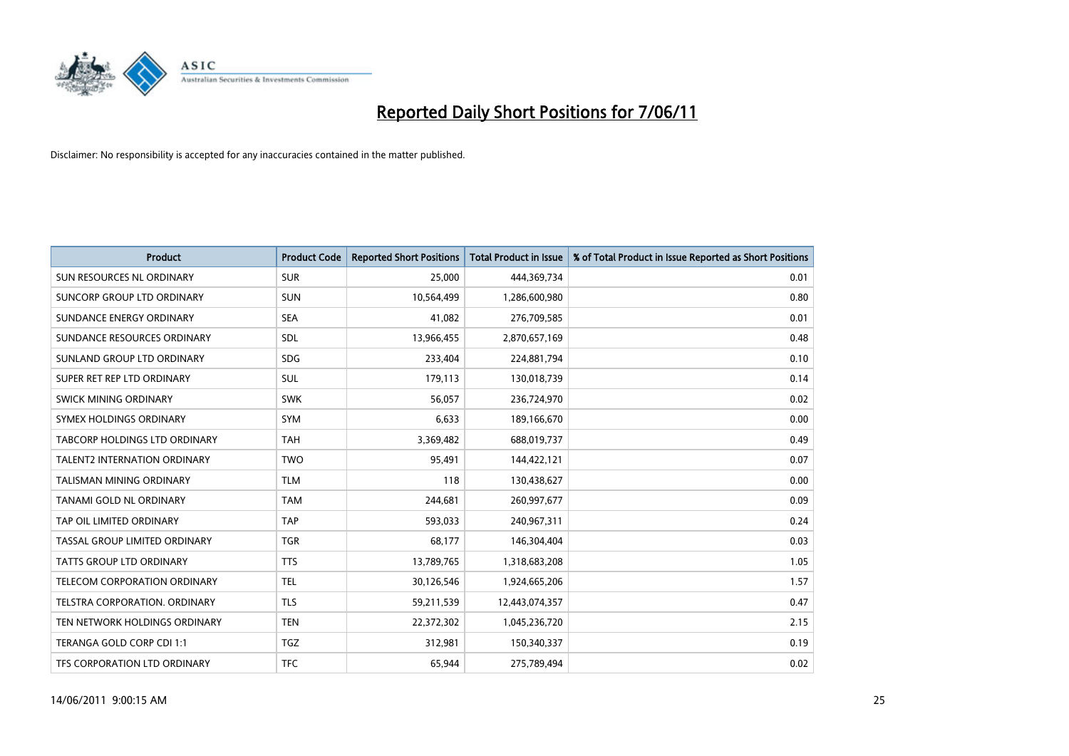

| <b>Product</b>                       | <b>Product Code</b> | <b>Reported Short Positions</b> | <b>Total Product in Issue</b> | % of Total Product in Issue Reported as Short Positions |
|--------------------------------------|---------------------|---------------------------------|-------------------------------|---------------------------------------------------------|
| SUN RESOURCES NL ORDINARY            | <b>SUR</b>          | 25,000                          | 444,369,734                   | 0.01                                                    |
| SUNCORP GROUP LTD ORDINARY           | <b>SUN</b>          | 10,564,499                      | 1,286,600,980                 | 0.80                                                    |
| SUNDANCE ENERGY ORDINARY             | <b>SEA</b>          | 41,082                          | 276,709,585                   | 0.01                                                    |
| SUNDANCE RESOURCES ORDINARY          | SDL                 | 13,966,455                      | 2,870,657,169                 | 0.48                                                    |
| SUNLAND GROUP LTD ORDINARY           | <b>SDG</b>          | 233.404                         | 224,881,794                   | 0.10                                                    |
| SUPER RET REP LTD ORDINARY           | <b>SUL</b>          | 179,113                         | 130,018,739                   | 0.14                                                    |
| SWICK MINING ORDINARY                | <b>SWK</b>          | 56.057                          | 236,724,970                   | 0.02                                                    |
| SYMEX HOLDINGS ORDINARY              | <b>SYM</b>          | 6,633                           | 189,166,670                   | 0.00                                                    |
| TABCORP HOLDINGS LTD ORDINARY        | <b>TAH</b>          | 3,369,482                       | 688,019,737                   | 0.49                                                    |
| <b>TALENT2 INTERNATION ORDINARY</b>  | <b>TWO</b>          | 95,491                          | 144,422,121                   | 0.07                                                    |
| TALISMAN MINING ORDINARY             | <b>TLM</b>          | 118                             | 130,438,627                   | 0.00                                                    |
| TANAMI GOLD NL ORDINARY              | <b>TAM</b>          | 244,681                         | 260,997,677                   | 0.09                                                    |
| TAP OIL LIMITED ORDINARY             | <b>TAP</b>          | 593.033                         | 240,967,311                   | 0.24                                                    |
| TASSAL GROUP LIMITED ORDINARY        | <b>TGR</b>          | 68,177                          | 146,304,404                   | 0.03                                                    |
| <b>TATTS GROUP LTD ORDINARY</b>      | <b>TTS</b>          | 13,789,765                      | 1,318,683,208                 | 1.05                                                    |
| TELECOM CORPORATION ORDINARY         | <b>TEL</b>          | 30,126,546                      | 1,924,665,206                 | 1.57                                                    |
| <b>TELSTRA CORPORATION, ORDINARY</b> | <b>TLS</b>          | 59,211,539                      | 12,443,074,357                | 0.47                                                    |
| TEN NETWORK HOLDINGS ORDINARY        | <b>TEN</b>          | 22,372,302                      | 1,045,236,720                 | 2.15                                                    |
| TERANGA GOLD CORP CDI 1:1            | <b>TGZ</b>          | 312,981                         | 150,340,337                   | 0.19                                                    |
| TFS CORPORATION LTD ORDINARY         | <b>TFC</b>          | 65,944                          | 275,789,494                   | 0.02                                                    |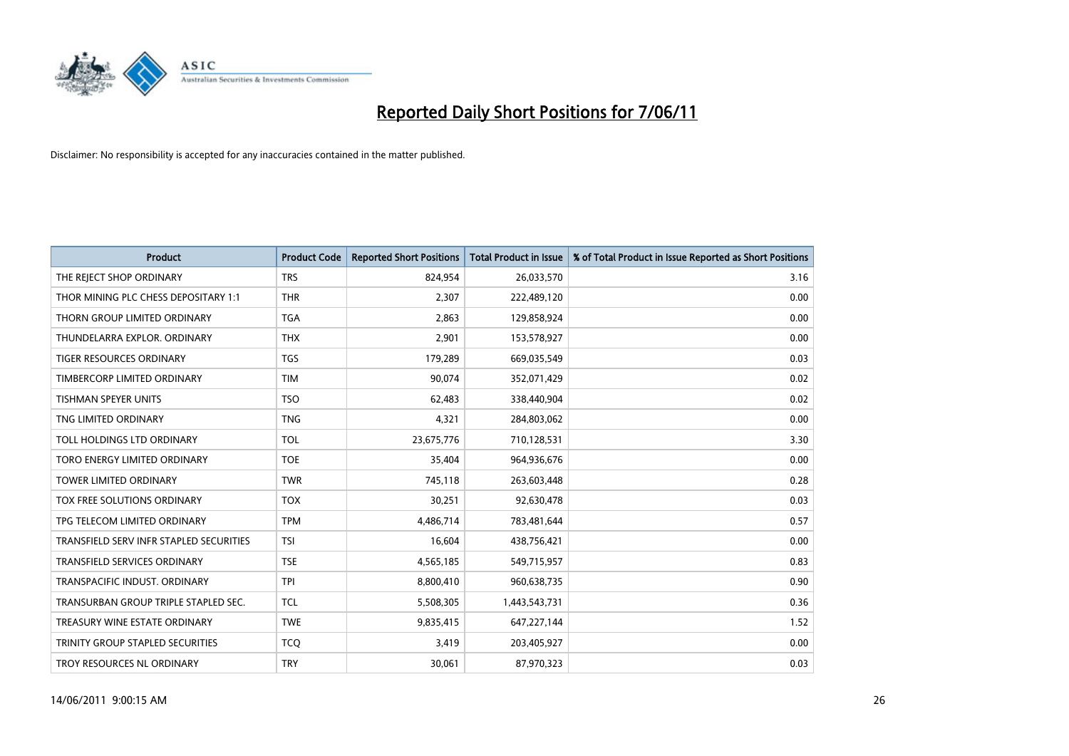

| <b>Product</b>                          | <b>Product Code</b> | <b>Reported Short Positions</b> | Total Product in Issue | % of Total Product in Issue Reported as Short Positions |
|-----------------------------------------|---------------------|---------------------------------|------------------------|---------------------------------------------------------|
| THE REJECT SHOP ORDINARY                | <b>TRS</b>          | 824,954                         | 26,033,570             | 3.16                                                    |
| THOR MINING PLC CHESS DEPOSITARY 1:1    | <b>THR</b>          | 2,307                           | 222,489,120            | 0.00                                                    |
| THORN GROUP LIMITED ORDINARY            | <b>TGA</b>          | 2,863                           | 129,858,924            | 0.00                                                    |
| THUNDELARRA EXPLOR, ORDINARY            | <b>THX</b>          | 2,901                           | 153,578,927            | 0.00                                                    |
| <b>TIGER RESOURCES ORDINARY</b>         | <b>TGS</b>          | 179,289                         | 669,035,549            | 0.03                                                    |
| TIMBERCORP LIMITED ORDINARY             | <b>TIM</b>          | 90,074                          | 352,071,429            | 0.02                                                    |
| <b>TISHMAN SPEYER UNITS</b>             | <b>TSO</b>          | 62,483                          | 338,440,904            | 0.02                                                    |
| TNG LIMITED ORDINARY                    | <b>TNG</b>          | 4,321                           | 284,803,062            | 0.00                                                    |
| TOLL HOLDINGS LTD ORDINARY              | <b>TOL</b>          | 23,675,776                      | 710,128,531            | 3.30                                                    |
| TORO ENERGY LIMITED ORDINARY            | <b>TOE</b>          | 35,404                          | 964,936,676            | 0.00                                                    |
| TOWER LIMITED ORDINARY                  | <b>TWR</b>          | 745,118                         | 263,603,448            | 0.28                                                    |
| <b>TOX FREE SOLUTIONS ORDINARY</b>      | <b>TOX</b>          | 30,251                          | 92,630,478             | 0.03                                                    |
| TPG TELECOM LIMITED ORDINARY            | <b>TPM</b>          | 4,486,714                       | 783,481,644            | 0.57                                                    |
| TRANSFIELD SERV INFR STAPLED SECURITIES | <b>TSI</b>          | 16,604                          | 438,756,421            | 0.00                                                    |
| <b>TRANSFIELD SERVICES ORDINARY</b>     | <b>TSE</b>          | 4,565,185                       | 549,715,957            | 0.83                                                    |
| TRANSPACIFIC INDUST, ORDINARY           | <b>TPI</b>          | 8,800,410                       | 960,638,735            | 0.90                                                    |
| TRANSURBAN GROUP TRIPLE STAPLED SEC.    | <b>TCL</b>          | 5,508,305                       | 1,443,543,731          | 0.36                                                    |
| TREASURY WINE ESTATE ORDINARY           | <b>TWE</b>          | 9,835,415                       | 647,227,144            | 1.52                                                    |
| TRINITY GROUP STAPLED SECURITIES        | <b>TCO</b>          | 3,419                           | 203,405,927            | 0.00                                                    |
| TROY RESOURCES NL ORDINARY              | <b>TRY</b>          | 30,061                          | 87,970,323             | 0.03                                                    |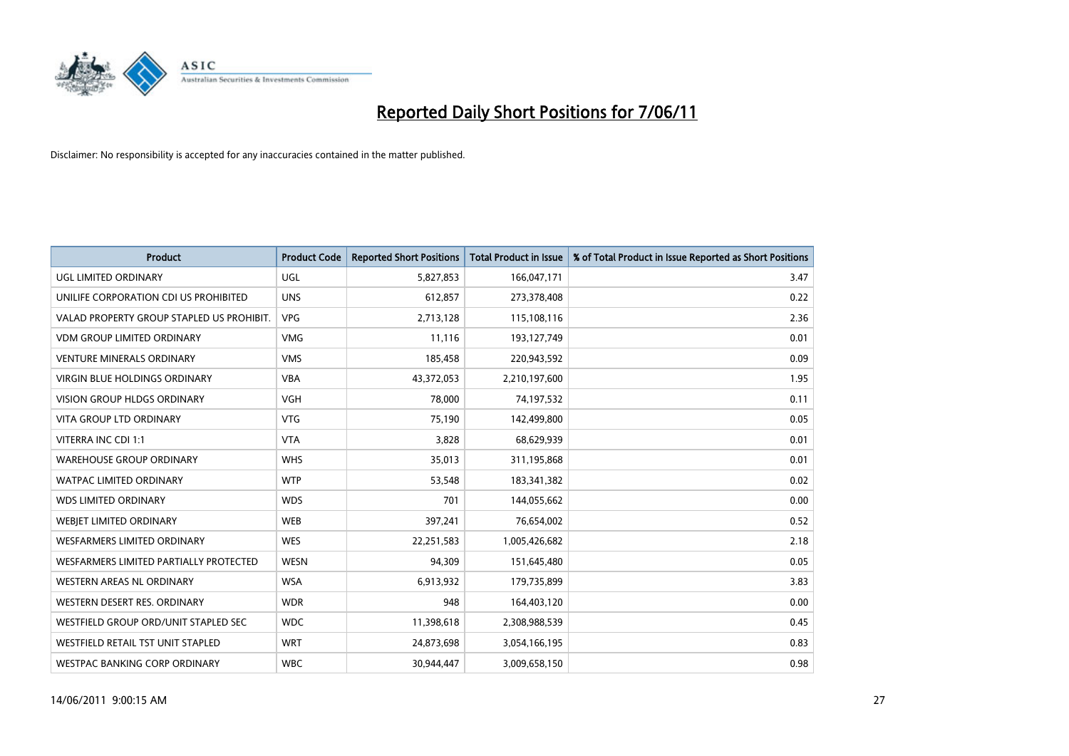

| <b>Product</b>                            | <b>Product Code</b> | <b>Reported Short Positions</b> | <b>Total Product in Issue</b> | % of Total Product in Issue Reported as Short Positions |
|-------------------------------------------|---------------------|---------------------------------|-------------------------------|---------------------------------------------------------|
| UGL LIMITED ORDINARY                      | <b>UGL</b>          | 5,827,853                       | 166,047,171                   | 3.47                                                    |
| UNILIFE CORPORATION CDI US PROHIBITED     | <b>UNS</b>          | 612,857                         | 273,378,408                   | 0.22                                                    |
| VALAD PROPERTY GROUP STAPLED US PROHIBIT. | <b>VPG</b>          | 2,713,128                       | 115,108,116                   | 2.36                                                    |
| <b>VDM GROUP LIMITED ORDINARY</b>         | <b>VMG</b>          | 11,116                          | 193,127,749                   | 0.01                                                    |
| <b>VENTURE MINERALS ORDINARY</b>          | <b>VMS</b>          | 185,458                         | 220,943,592                   | 0.09                                                    |
| <b>VIRGIN BLUE HOLDINGS ORDINARY</b>      | <b>VBA</b>          | 43,372,053                      | 2,210,197,600                 | 1.95                                                    |
| <b>VISION GROUP HLDGS ORDINARY</b>        | <b>VGH</b>          | 78,000                          | 74,197,532                    | 0.11                                                    |
| VITA GROUP LTD ORDINARY                   | <b>VTG</b>          | 75,190                          | 142,499,800                   | 0.05                                                    |
| VITERRA INC CDI 1:1                       | <b>VTA</b>          | 3,828                           | 68,629,939                    | 0.01                                                    |
| <b>WAREHOUSE GROUP ORDINARY</b>           | <b>WHS</b>          | 35,013                          | 311,195,868                   | 0.01                                                    |
| WATPAC LIMITED ORDINARY                   | <b>WTP</b>          | 53,548                          | 183,341,382                   | 0.02                                                    |
| <b>WDS LIMITED ORDINARY</b>               | <b>WDS</b>          | 701                             | 144,055,662                   | 0.00                                                    |
| WEBIET LIMITED ORDINARY                   | <b>WEB</b>          | 397,241                         | 76,654,002                    | 0.52                                                    |
| <b>WESFARMERS LIMITED ORDINARY</b>        | <b>WES</b>          | 22,251,583                      | 1,005,426,682                 | 2.18                                                    |
| WESFARMERS LIMITED PARTIALLY PROTECTED    | <b>WESN</b>         | 94,309                          | 151,645,480                   | 0.05                                                    |
| WESTERN AREAS NL ORDINARY                 | <b>WSA</b>          | 6,913,932                       | 179,735,899                   | 3.83                                                    |
| WESTERN DESERT RES. ORDINARY              | <b>WDR</b>          | 948                             | 164,403,120                   | 0.00                                                    |
| WESTFIELD GROUP ORD/UNIT STAPLED SEC      | <b>WDC</b>          | 11,398,618                      | 2,308,988,539                 | 0.45                                                    |
| WESTFIELD RETAIL TST UNIT STAPLED         | <b>WRT</b>          | 24,873,698                      | 3,054,166,195                 | 0.83                                                    |
| WESTPAC BANKING CORP ORDINARY             | <b>WBC</b>          | 30,944,447                      | 3,009,658,150                 | 0.98                                                    |